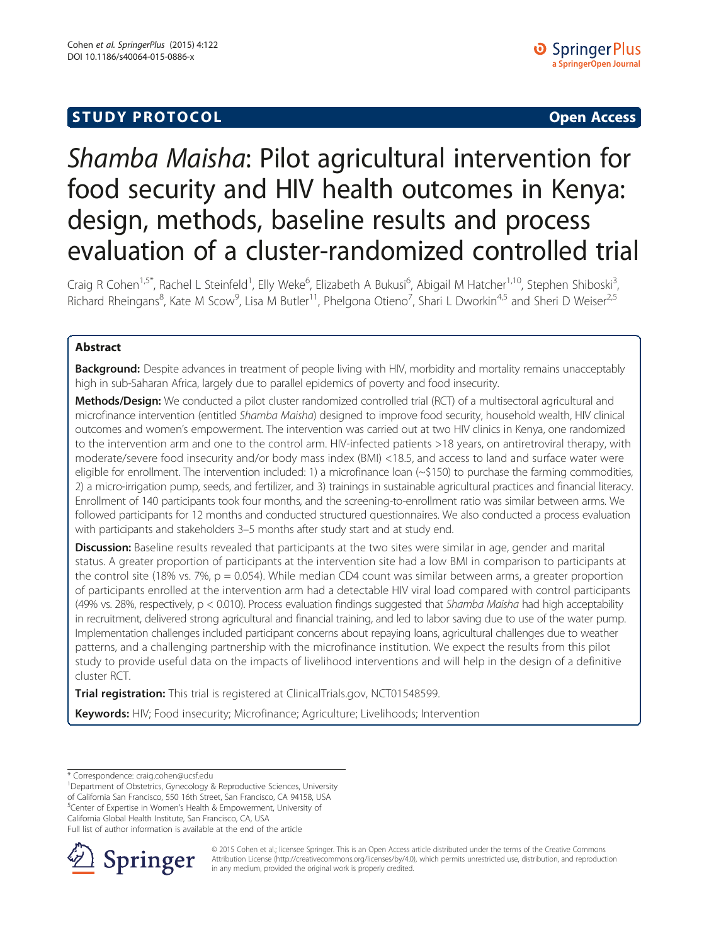# **STUDY PROTOCOL CONSUMING THE RESERVE ACCESS**

# Shamba Maisha: Pilot agricultural intervention for food security and HIV health outcomes in Kenya: design, methods, baseline results and process evaluation of a cluster-randomized controlled trial

Craig R Cohen<sup>1,5\*</sup>, Rachel L Steinfeld<sup>1</sup>, Elly Weke<sup>6</sup>, Elizabeth A Bukusi<sup>6</sup>, Abigail M Hatcher<sup>1,10</sup>, Stephen Shiboski<sup>3</sup> , Richard Rheingans<sup>8</sup>, Kate M Scow<sup>9</sup>, Lisa M Butler<sup>11</sup>, Phelgona Otieno<sup>7</sup>, Shari L Dworkin<sup>4,5</sup> and Sheri D Weiser<sup>2,5</sup>

# Abstract

Background: Despite advances in treatment of people living with HIV, morbidity and mortality remains unacceptably high in sub-Saharan Africa, largely due to parallel epidemics of poverty and food insecurity.

Methods/Design: We conducted a pilot cluster randomized controlled trial (RCT) of a multisectoral agricultural and microfinance intervention (entitled Shamba Maisha) designed to improve food security, household wealth, HIV clinical outcomes and women's empowerment. The intervention was carried out at two HIV clinics in Kenya, one randomized to the intervention arm and one to the control arm. HIV-infected patients >18 years, on antiretroviral therapy, with moderate/severe food insecurity and/or body mass index (BMI) <18.5, and access to land and surface water were eligible for enrollment. The intervention included: 1) a microfinance loan (~\$150) to purchase the farming commodities, 2) a micro-irrigation pump, seeds, and fertilizer, and 3) trainings in sustainable agricultural practices and financial literacy. Enrollment of 140 participants took four months, and the screening-to-enrollment ratio was similar between arms. We followed participants for 12 months and conducted structured questionnaires. We also conducted a process evaluation with participants and stakeholders 3–5 months after study start and at study end.

Discussion: Baseline results revealed that participants at the two sites were similar in age, gender and marital status. A greater proportion of participants at the intervention site had a low BMI in comparison to participants at the control site (18% vs. 7%,  $p = 0.054$ ). While median CD4 count was similar between arms, a greater proportion of participants enrolled at the intervention arm had a detectable HIV viral load compared with control participants (49% vs. 28%, respectively, p < 0.010). Process evaluation findings suggested that Shamba Maisha had high acceptability in recruitment, delivered strong agricultural and financial training, and led to labor saving due to use of the water pump. Implementation challenges included participant concerns about repaying loans, agricultural challenges due to weather patterns, and a challenging partnership with the microfinance institution. We expect the results from this pilot study to provide useful data on the impacts of livelihood interventions and will help in the design of a definitive cluster RCT.

Trial registration: This trial is registered at ClinicalTrials.gov, [NCT01548599.](https://clinicaltrials.gov/ct2/show/NCT01548599)

Keywords: HIV; Food insecurity; Microfinance; Agriculture; Livelihoods; Intervention

<sup>1</sup>Department of Obstetrics, Gynecology & Reproductive Sciences, University

of California San Francisco, 550 16th Street, San Francisco, CA 94158, USA

5 Center of Expertise in Women's Health & Empowerment, University of California Global Health Institute, San Francisco, CA, USA

Full list of author information is available at the end of the article



© 2015 Cohen et al.; licensee Springer. This is an Open Access article distributed under the terms of the Creative Commons Attribution License [\(http://creativecommons.org/licenses/by/4.0\)](http://creativecommons.org/licenses/by/4.0), which permits unrestricted use, distribution, and reproduction in any medium, provided the original work is properly credited.

<sup>\*</sup> Correspondence: [craig.cohen@ucsf.edu](mailto:craig.cohen@ucsf.edu) <sup>1</sup>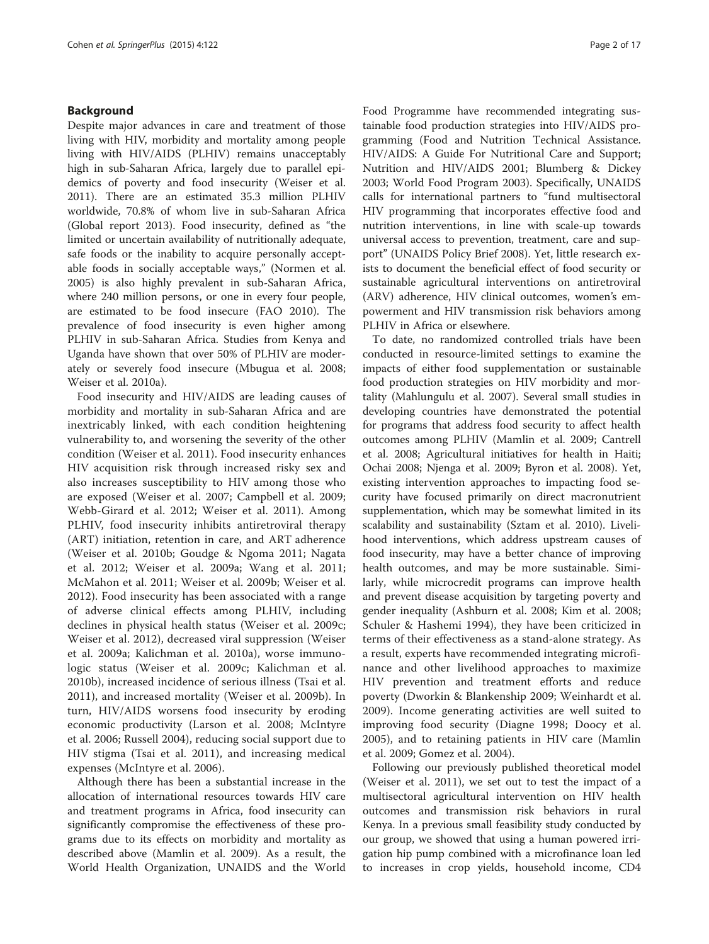# Background

Despite major advances in care and treatment of those living with HIV, morbidity and mortality among people living with HIV/AIDS (PLHIV) remains unacceptably high in sub-Saharan Africa, largely due to parallel epidemics of poverty and food insecurity (Weiser et al. [2011](#page-16-0)). There are an estimated 35.3 million PLHIV worldwide, 70.8% of whom live in sub-Saharan Africa (Global report [2013](#page-14-0)). Food insecurity, defined as "the limited or uncertain availability of nutritionally adequate, safe foods or the inability to acquire personally acceptable foods in socially acceptable ways," (Normen et al. [2005](#page-15-0)) is also highly prevalent in sub-Saharan Africa, where 240 million persons, or one in every four people, are estimated to be food insecure [\(FAO 2010\)](#page-14-0). The prevalence of food insecurity is even higher among PLHIV in sub-Saharan Africa. Studies from Kenya and Uganda have shown that over 50% of PLHIV are moderately or severely food insecure (Mbugua et al. [2008](#page-15-0); Weiser et al. [2010a\)](#page-16-0).

Food insecurity and HIV/AIDS are leading causes of morbidity and mortality in sub-Saharan Africa and are inextricably linked, with each condition heightening vulnerability to, and worsening the severity of the other condition (Weiser et al. [2011](#page-16-0)). Food insecurity enhances HIV acquisition risk through increased risky sex and also increases susceptibility to HIV among those who are exposed (Weiser et al. [2007;](#page-16-0) Campbell et al. [2009](#page-14-0); Webb-Girard et al. [2012](#page-16-0); Weiser et al. [2011\)](#page-16-0). Among PLHIV, food insecurity inhibits antiretroviral therapy (ART) initiation, retention in care, and ART adherence (Weiser et al. [2010b;](#page-16-0) Goudge & Ngoma [2011;](#page-14-0) Nagata et al. [2012](#page-15-0); Weiser et al. [2009a](#page-16-0); Wang et al. [2011](#page-16-0); McMahon et al. [2011;](#page-15-0) Weiser et al. [2009b;](#page-16-0) Weiser et al. [2012\)](#page-16-0). Food insecurity has been associated with a range of adverse clinical effects among PLHIV, including declines in physical health status (Weiser et al. [2009c](#page-16-0); Weiser et al. [2012](#page-16-0)), decreased viral suppression (Weiser et al. [2009a](#page-16-0); Kalichman et al. [2010a](#page-15-0)), worse immunologic status (Weiser et al. [2009c](#page-16-0); Kalichman et al. [2010b\)](#page-15-0), increased incidence of serious illness (Tsai et al. [2011\)](#page-16-0), and increased mortality (Weiser et al. [2009b\)](#page-16-0). In turn, HIV/AIDS worsens food insecurity by eroding economic productivity (Larson et al. [2008](#page-15-0); McIntyre et al. [2006](#page-15-0); Russell [2004\)](#page-15-0), reducing social support due to HIV stigma (Tsai et al. [2011](#page-16-0)), and increasing medical expenses (McIntyre et al. [2006](#page-15-0)).

Although there has been a substantial increase in the allocation of international resources towards HIV care and treatment programs in Africa, food insecurity can significantly compromise the effectiveness of these programs due to its effects on morbidity and mortality as described above (Mamlin et al. [2009\)](#page-15-0). As a result, the World Health Organization, UNAIDS and the World

Food Programme have recommended integrating sustainable food production strategies into HIV/AIDS programming ([Food and Nutrition Technical Assistance.](#page-14-0) [HIV/AIDS: A Guide For Nutritional Care and Support](#page-14-0); Nutrition and HIV/AIDS [2001;](#page-15-0) Blumberg & Dickey [2003](#page-13-0); World Food Program [2003\)](#page-16-0). Specifically, UNAIDS calls for international partners to "fund multisectoral HIV programming that incorporates effective food and nutrition interventions, in line with scale-up towards universal access to prevention, treatment, care and support" (UNAIDS Policy Brief [2008\)](#page-16-0). Yet, little research exists to document the beneficial effect of food security or sustainable agricultural interventions on antiretroviral (ARV) adherence, HIV clinical outcomes, women's empowerment and HIV transmission risk behaviors among PLHIV in Africa or elsewhere.

To date, no randomized controlled trials have been conducted in resource-limited settings to examine the impacts of either food supplementation or sustainable food production strategies on HIV morbidity and mortality (Mahlungulu et al. [2007](#page-15-0)). Several small studies in developing countries have demonstrated the potential for programs that address food security to affect health outcomes among PLHIV (Mamlin et al. [2009](#page-15-0); Cantrell et al. [2008;](#page-14-0) [Agricultural initiatives for health in Haiti](#page-13-0); Ochai [2008;](#page-15-0) Njenga et al. [2009](#page-15-0); Byron et al. [2008](#page-14-0)). Yet, existing intervention approaches to impacting food security have focused primarily on direct macronutrient supplementation, which may be somewhat limited in its scalability and sustainability (Sztam et al. [2010](#page-16-0)). Livelihood interventions, which address upstream causes of food insecurity, may have a better chance of improving health outcomes, and may be more sustainable. Similarly, while microcredit programs can improve health and prevent disease acquisition by targeting poverty and gender inequality (Ashburn et al. [2008](#page-13-0); Kim et al. [2008](#page-15-0); Schuler & Hashemi [1994\)](#page-15-0), they have been criticized in terms of their effectiveness as a stand-alone strategy. As a result, experts have recommended integrating microfinance and other livelihood approaches to maximize HIV prevention and treatment efforts and reduce poverty (Dworkin & Blankenship [2009;](#page-14-0) Weinhardt et al. [2009\)](#page-16-0). Income generating activities are well suited to improving food security (Diagne [1998;](#page-14-0) Doocy et al. [2005\)](#page-14-0), and to retaining patients in HIV care (Mamlin et al. [2009](#page-15-0); Gomez et al. [2004\)](#page-14-0).

Following our previously published theoretical model (Weiser et al. [2011\)](#page-16-0), we set out to test the impact of a multisectoral agricultural intervention on HIV health outcomes and transmission risk behaviors in rural Kenya. In a previous small feasibility study conducted by our group, we showed that using a human powered irrigation hip pump combined with a microfinance loan led to increases in crop yields, household income, CD4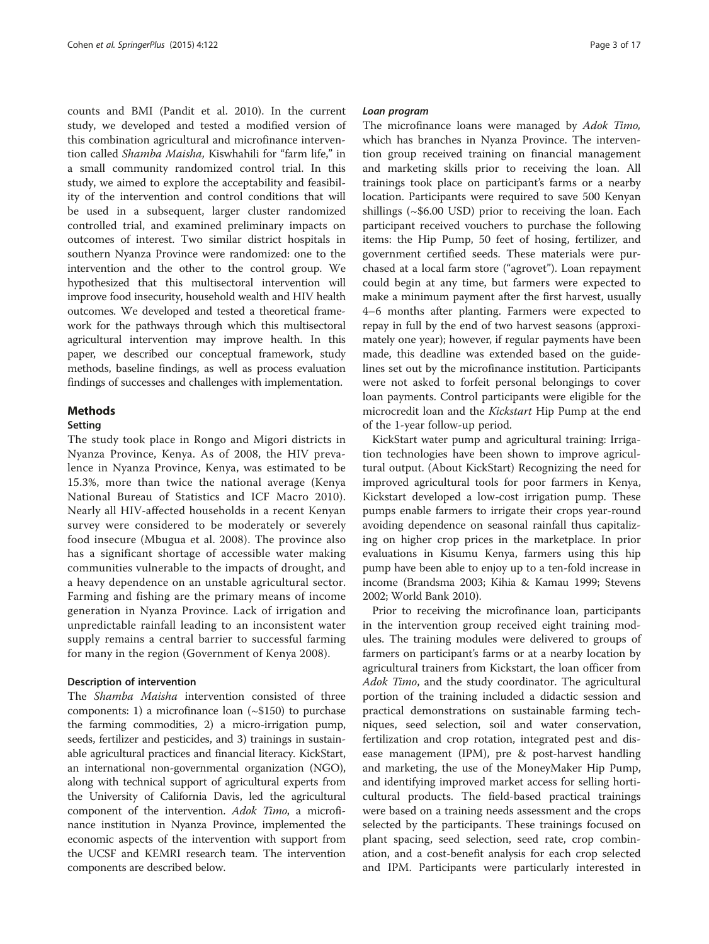counts and BMI (Pandit et al. [2010\)](#page-15-0). In the current study, we developed and tested a modified version of this combination agricultural and microfinance intervention called Shamba Maisha, Kiswhahili for "farm life," in a small community randomized control trial. In this study, we aimed to explore the acceptability and feasibility of the intervention and control conditions that will be used in a subsequent, larger cluster randomized controlled trial, and examined preliminary impacts on outcomes of interest. Two similar district hospitals in southern Nyanza Province were randomized: one to the intervention and the other to the control group. We hypothesized that this multisectoral intervention will improve food insecurity, household wealth and HIV health outcomes. We developed and tested a theoretical framework for the pathways through which this multisectoral agricultural intervention may improve health. In this paper, we described our conceptual framework, study methods, baseline findings, as well as process evaluation findings of successes and challenges with implementation.

# Methods

# Setting

The study took place in Rongo and Migori districts in Nyanza Province, Kenya. As of 2008, the HIV prevalence in Nyanza Province, Kenya, was estimated to be 15.3%, more than twice the national average (Kenya National Bureau of Statistics and ICF Macro [2010](#page-15-0)). Nearly all HIV-affected households in a recent Kenyan survey were considered to be moderately or severely food insecure (Mbugua et al. [2008\)](#page-15-0). The province also has a significant shortage of accessible water making communities vulnerable to the impacts of drought, and a heavy dependence on an unstable agricultural sector. Farming and fishing are the primary means of income generation in Nyanza Province. Lack of irrigation and unpredictable rainfall leading to an inconsistent water supply remains a central barrier to successful farming for many in the region (Government of Kenya [2008](#page-14-0)).

# Description of intervention

The Shamba Maisha intervention consisted of three components: 1) a microfinance loan  $(\sim $150)$  to purchase the farming commodities, 2) a micro-irrigation pump, seeds, fertilizer and pesticides, and 3) trainings in sustainable agricultural practices and financial literacy. KickStart, an international non-governmental organization (NGO), along with technical support of agricultural experts from the University of California Davis, led the agricultural component of the intervention. Adok Timo, a microfinance institution in Nyanza Province, implemented the economic aspects of the intervention with support from the UCSF and KEMRI research team. The intervention components are described below.

#### Loan program

The microfinance loans were managed by Adok Timo, which has branches in Nyanza Province. The intervention group received training on financial management and marketing skills prior to receiving the loan. All trainings took place on participant's farms or a nearby location. Participants were required to save 500 Kenyan shillings (~\$6.00 USD) prior to receiving the loan. Each participant received vouchers to purchase the following items: the Hip Pump, 50 feet of hosing, fertilizer, and government certified seeds. These materials were purchased at a local farm store ("agrovet"). Loan repayment could begin at any time, but farmers were expected to make a minimum payment after the first harvest, usually 4–6 months after planting. Farmers were expected to repay in full by the end of two harvest seasons (approximately one year); however, if regular payments have been made, this deadline was extended based on the guidelines set out by the microfinance institution. Participants were not asked to forfeit personal belongings to cover loan payments. Control participants were eligible for the microcredit loan and the *Kickstart* Hip Pump at the end of the 1-year follow-up period.

KickStart water pump and agricultural training: Irrigation technologies have been shown to improve agricultural output. ([About KickStart](#page-13-0)) Recognizing the need for improved agricultural tools for poor farmers in Kenya, Kickstart developed a low-cost irrigation pump. These pumps enable farmers to irrigate their crops year-round avoiding dependence on seasonal rainfall thus capitalizing on higher crop prices in the marketplace. In prior evaluations in Kisumu Kenya, farmers using this hip pump have been able to enjoy up to a ten-fold increase in income (Brandsma [2003;](#page-14-0) Kihia & Kamau [1999;](#page-15-0) Stevens [2002](#page-16-0); World Bank [2010](#page-16-0)).

Prior to receiving the microfinance loan, participants in the intervention group received eight training modules. The training modules were delivered to groups of farmers on participant's farms or at a nearby location by agricultural trainers from Kickstart, the loan officer from Adok Timo, and the study coordinator. The agricultural portion of the training included a didactic session and practical demonstrations on sustainable farming techniques, seed selection, soil and water conservation, fertilization and crop rotation, integrated pest and disease management (IPM), pre & post-harvest handling and marketing, the use of the MoneyMaker Hip Pump, and identifying improved market access for selling horticultural products. The field-based practical trainings were based on a training needs assessment and the crops selected by the participants. These trainings focused on plant spacing, seed selection, seed rate, crop combination, and a cost-benefit analysis for each crop selected and IPM. Participants were particularly interested in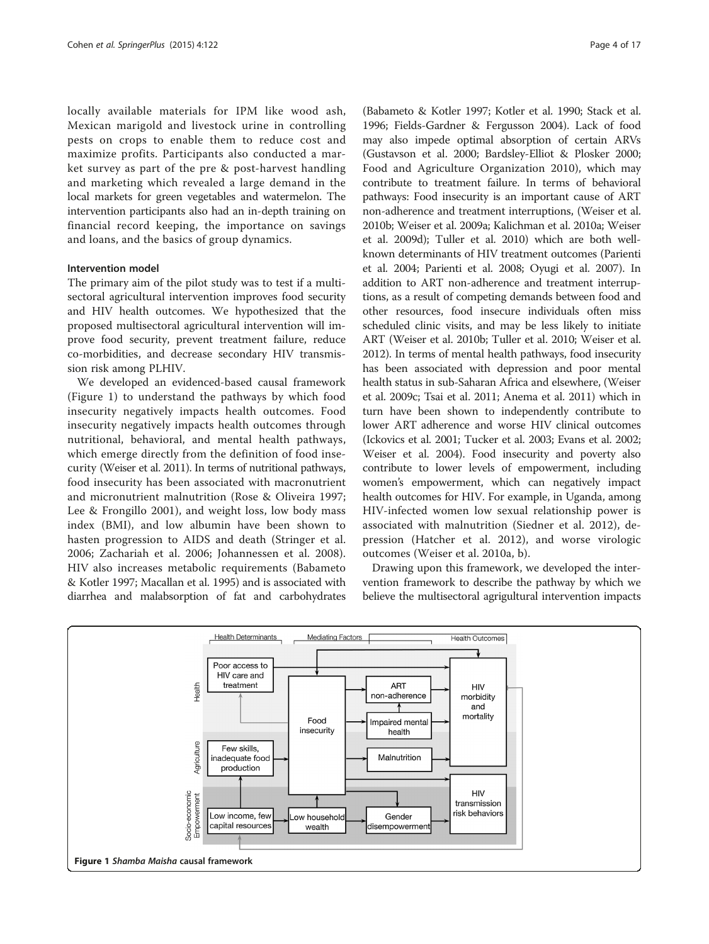locally available materials for IPM like wood ash, Mexican marigold and livestock urine in controlling pests on crops to enable them to reduce cost and maximize profits. Participants also conducted a market survey as part of the pre & post-harvest handling and marketing which revealed a large demand in the local markets for green vegetables and watermelon. The intervention participants also had an in-depth training on financial record keeping, the importance on savings and loans, and the basics of group dynamics.

# Intervention model

The primary aim of the pilot study was to test if a multisectoral agricultural intervention improves food security and HIV health outcomes. We hypothesized that the proposed multisectoral agricultural intervention will improve food security, prevent treatment failure, reduce co-morbidities, and decrease secondary HIV transmission risk among PLHIV.

We developed an evidenced-based causal framework (Figure 1) to understand the pathways by which food insecurity negatively impacts health outcomes. Food insecurity negatively impacts health outcomes through nutritional, behavioral, and mental health pathways, which emerge directly from the definition of food insecurity (Weiser et al. [2011](#page-16-0)). In terms of nutritional pathways, food insecurity has been associated with macronutrient and micronutrient malnutrition (Rose & Oliveira [1997](#page-15-0); Lee & Frongillo [2001](#page-15-0)), and weight loss, low body mass index (BMI), and low albumin have been shown to hasten progression to AIDS and death (Stringer et al. [2006;](#page-16-0) Zachariah et al. [2006;](#page-16-0) Johannessen et al. [2008](#page-15-0)). HIV also increases metabolic requirements (Babameto & Kotler [1997](#page-13-0); Macallan et al. [1995](#page-15-0)) and is associated with diarrhea and malabsorption of fat and carbohydrates

(Babameto & Kotler [1997](#page-13-0); Kotler et al. [1990;](#page-15-0) Stack et al. [1996](#page-15-0); Fields-Gardner & Fergusson [2004](#page-14-0)). Lack of food may also impede optimal absorption of certain ARVs (Gustavson et al. [2000](#page-14-0); Bardsley-Elliot & Plosker [2000](#page-13-0); [Food and Agriculture Organization 2010](#page-14-0)), which may contribute to treatment failure. In terms of behavioral pathways: Food insecurity is an important cause of ART non-adherence and treatment interruptions, (Weiser et al. [2010b;](#page-16-0) Weiser et al. [2009a;](#page-16-0) Kalichman et al. [2010a;](#page-15-0) Weiser et al. [2009d\)](#page-16-0); Tuller et al. [2010](#page-16-0)) which are both wellknown determinants of HIV treatment outcomes (Parienti et al. [2004](#page-15-0); Parienti et al. [2008](#page-15-0); Oyugi et al. [2007\)](#page-15-0). In addition to ART non-adherence and treatment interruptions, as a result of competing demands between food and other resources, food insecure individuals often miss scheduled clinic visits, and may be less likely to initiate ART (Weiser et al. [2010b](#page-16-0); Tuller et al. [2010;](#page-16-0) Weiser et al. [2012](#page-16-0)). In terms of mental health pathways, food insecurity has been associated with depression and poor mental health status in sub-Saharan Africa and elsewhere, (Weiser et al. [2009c](#page-16-0); Tsai et al. [2011;](#page-16-0) Anema et al. [2011](#page-13-0)) which in turn have been shown to independently contribute to lower ART adherence and worse HIV clinical outcomes (Ickovics et al. [2001;](#page-14-0) Tucker et al. [2003](#page-16-0); Evans et al. [2002](#page-14-0); Weiser et al. [2004\)](#page-16-0). Food insecurity and poverty also contribute to lower levels of empowerment, including women's empowerment, which can negatively impact health outcomes for HIV. For example, in Uganda, among HIV-infected women low sexual relationship power is associated with malnutrition (Siedner et al. [2012](#page-15-0)), depression (Hatcher et al. [2012\)](#page-14-0), and worse virologic outcomes (Weiser et al. [2010a](#page-16-0), [b](#page-16-0)).

Drawing upon this framework, we developed the intervention framework to describe the pathway by which we believe the multisectoral agrigultural intervention impacts

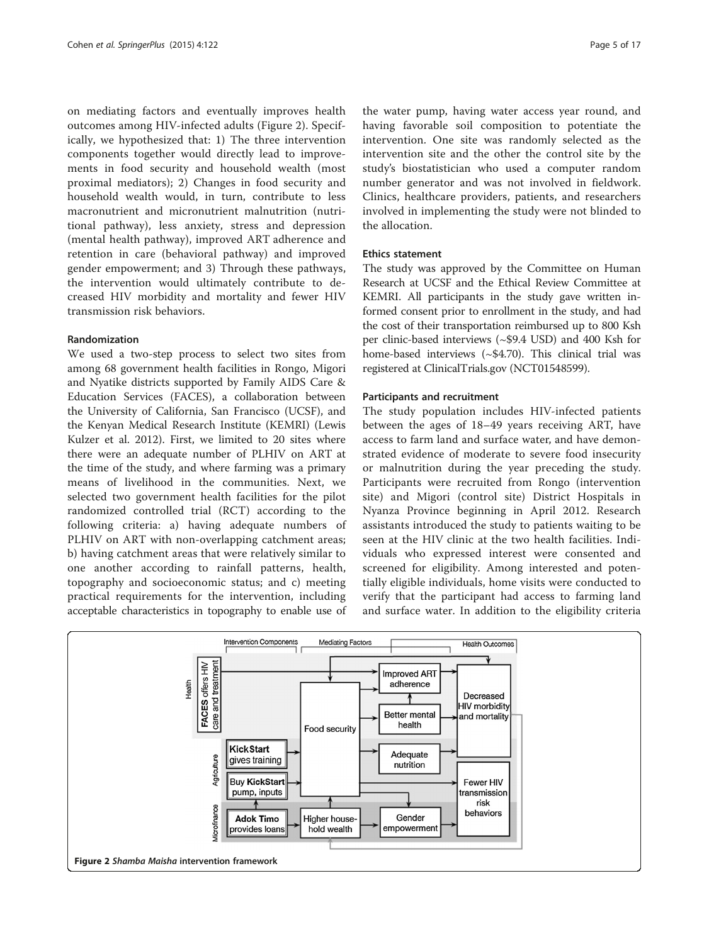<span id="page-4-0"></span>on mediating factors and eventually improves health outcomes among HIV-infected adults (Figure 2). Specifically, we hypothesized that: 1) The three intervention components together would directly lead to improvements in food security and household wealth (most proximal mediators); 2) Changes in food security and household wealth would, in turn, contribute to less macronutrient and micronutrient malnutrition (nutritional pathway), less anxiety, stress and depression (mental health pathway), improved ART adherence and retention in care (behavioral pathway) and improved gender empowerment; and 3) Through these pathways, the intervention would ultimately contribute to decreased HIV morbidity and mortality and fewer HIV transmission risk behaviors.

# Randomization

We used a two-step process to select two sites from among 68 government health facilities in Rongo, Migori and Nyatike districts supported by Family AIDS Care & Education Services (FACES), a collaboration between the University of California, San Francisco (UCSF), and the Kenyan Medical Research Institute (KEMRI) (Lewis Kulzer et al. [2012](#page-15-0)). First, we limited to 20 sites where there were an adequate number of PLHIV on ART at the time of the study, and where farming was a primary means of livelihood in the communities. Next, we selected two government health facilities for the pilot randomized controlled trial (RCT) according to the following criteria: a) having adequate numbers of PLHIV on ART with non-overlapping catchment areas; b) having catchment areas that were relatively similar to one another according to rainfall patterns, health, topography and socioeconomic status; and c) meeting practical requirements for the intervention, including acceptable characteristics in topography to enable use of

the water pump, having water access year round, and having favorable soil composition to potentiate the intervention. One site was randomly selected as the intervention site and the other the control site by the study's biostatistician who used a computer random number generator and was not involved in fieldwork. Clinics, healthcare providers, patients, and researchers involved in implementing the study were not blinded to the allocation.

# Ethics statement

The study was approved by the Committee on Human Research at UCSF and the Ethical Review Committee at KEMRI. All participants in the study gave written informed consent prior to enrollment in the study, and had the cost of their transportation reimbursed up to 800 Ksh per clinic-based interviews (~\$9.4 USD) and 400 Ksh for home-based interviews (~\$4.70). This clinical trial was registered at ClinicalTrials.gov [\(NCT01548599\)](http://www.clinicaltrials.gov/NCT01548599).

# Participants and recruitment

The study population includes HIV-infected patients between the ages of 18–49 years receiving ART, have access to farm land and surface water, and have demonstrated evidence of moderate to severe food insecurity or malnutrition during the year preceding the study. Participants were recruited from Rongo (intervention site) and Migori (control site) District Hospitals in Nyanza Province beginning in April 2012. Research assistants introduced the study to patients waiting to be seen at the HIV clinic at the two health facilities. Individuals who expressed interest were consented and screened for eligibility. Among interested and potentially eligible individuals, home visits were conducted to verify that the participant had access to farming land and surface water. In addition to the eligibility criteria

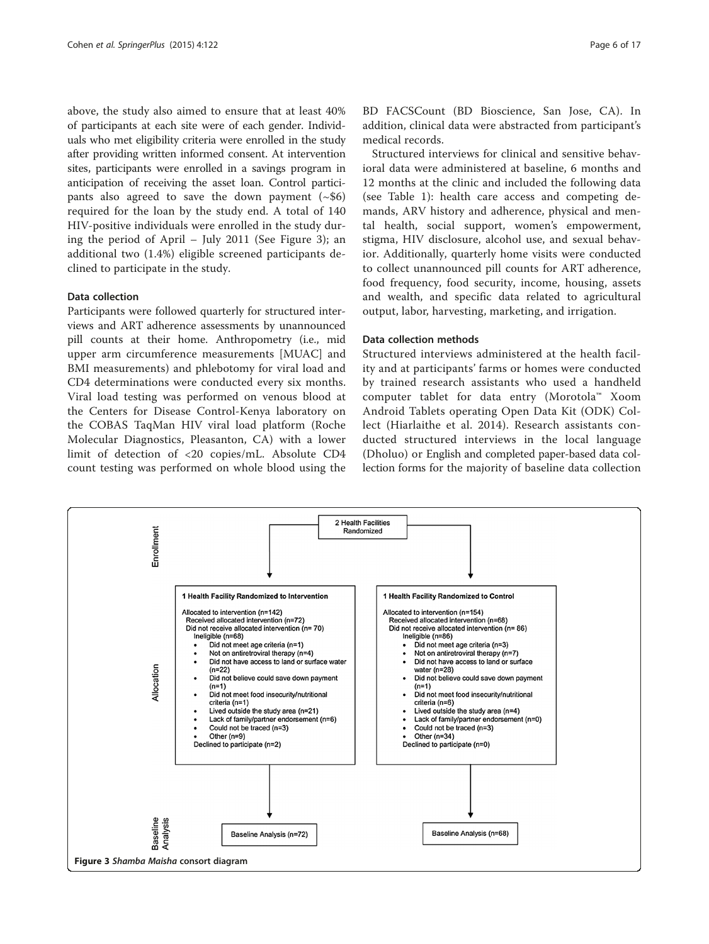<span id="page-5-0"></span>above, the study also aimed to ensure that at least 40% of participants at each site were of each gender. Individuals who met eligibility criteria were enrolled in the study after providing written informed consent. At intervention sites, participants were enrolled in a savings program in anticipation of receiving the asset loan. Control participants also agreed to save the down payment  $(\sim 16)$ required for the loan by the study end. A total of 140 HIV-positive individuals were enrolled in the study during the period of April – July 2011 (See Figure 3); an additional two (1.4%) eligible screened participants declined to participate in the study.

#### Data collection

Participants were followed quarterly for structured interviews and ART adherence assessments by unannounced pill counts at their home. Anthropometry (i.e., mid upper arm circumference measurements [MUAC] and BMI measurements) and phlebotomy for viral load and CD4 determinations were conducted every six months. Viral load testing was performed on venous blood at the Centers for Disease Control-Kenya laboratory on the COBAS TaqMan HIV viral load platform (Roche Molecular Diagnostics, Pleasanton, CA) with a lower limit of detection of <20 copies/mL. Absolute CD4 count testing was performed on whole blood using the BD FACSCount (BD Bioscience, San Jose, CA). In addition, clinical data were abstracted from participant's medical records.

Structured interviews for clinical and sensitive behavioral data were administered at baseline, 6 months and 12 months at the clinic and included the following data (see Table [1\)](#page-6-0): health care access and competing demands, ARV history and adherence, physical and mental health, social support, women's empowerment, stigma, HIV disclosure, alcohol use, and sexual behavior. Additionally, quarterly home visits were conducted to collect unannounced pill counts for ART adherence, food frequency, food security, income, housing, assets and wealth, and specific data related to agricultural output, labor, harvesting, marketing, and irrigation.

# Data collection methods

Structured interviews administered at the health facility and at participants' farms or homes were conducted by trained research assistants who used a handheld computer tablet for data entry (Morotola™ Xoom Android Tablets operating Open Data Kit (ODK) Collect (Hiarlaithe et al. [2014](#page-14-0)). Research assistants conducted structured interviews in the local language (Dholuo) or English and completed paper-based data collection forms for the majority of baseline data collection

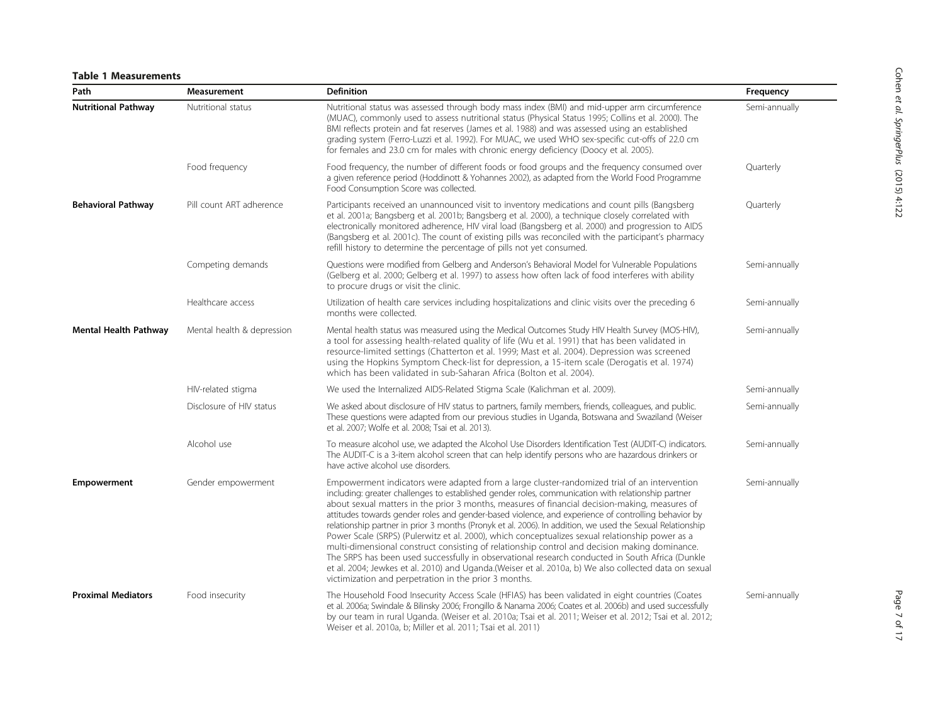# <span id="page-6-0"></span>Table 1 Measurements

| Path                       | Measurement                | <b>Definition</b>                                                                                                                                                                                                                                                                                                                                                                                                                                                                                                                                                                                                                                                                                                                                                                                                                                                                                                                                                                                 | Frequency     |
|----------------------------|----------------------------|---------------------------------------------------------------------------------------------------------------------------------------------------------------------------------------------------------------------------------------------------------------------------------------------------------------------------------------------------------------------------------------------------------------------------------------------------------------------------------------------------------------------------------------------------------------------------------------------------------------------------------------------------------------------------------------------------------------------------------------------------------------------------------------------------------------------------------------------------------------------------------------------------------------------------------------------------------------------------------------------------|---------------|
| <b>Nutritional Pathway</b> | Nutritional status         | Nutritional status was assessed through body mass index (BMI) and mid-upper arm circumference<br>(MUAC), commonly used to assess nutritional status (Physical Status 1995; Collins et al. 2000). The<br>BMI reflects protein and fat reserves (James et al. 1988) and was assessed using an established<br>grading system (Ferro-Luzzi et al. 1992). For MUAC, we used WHO sex-specific cut-offs of 22.0 cm<br>for females and 23.0 cm for males with chronic energy deficiency (Doocy et al. 2005).                                                                                                                                                                                                                                                                                                                                                                                                                                                                                              | Semi-annually |
|                            | Food frequency             | Food frequency, the number of different foods or food groups and the frequency consumed over<br>a given reference period (Hoddinott & Yohannes 2002), as adapted from the World Food Programme<br>Food Consumption Score was collected.                                                                                                                                                                                                                                                                                                                                                                                                                                                                                                                                                                                                                                                                                                                                                           | Quarterly     |
| <b>Behavioral Pathway</b>  | Pill count ART adherence   | Participants received an unannounced visit to inventory medications and count pills (Bangsberg<br>et al. 2001a; Bangsberg et al. 2001b; Bangsberg et al. 2000), a technique closely correlated with<br>electronically monitored adherence, HIV viral load (Bangsberg et al. 2000) and progression to AIDS<br>(Bangsberg et al. 2001c). The count of existing pills was reconciled with the participant's pharmacy<br>refill history to determine the percentage of pills not yet consumed.                                                                                                                                                                                                                                                                                                                                                                                                                                                                                                        | Quarterly     |
|                            | Competing demands          | Questions were modified from Gelberg and Anderson's Behavioral Model for Vulnerable Populations<br>(Gelberg et al. 2000; Gelberg et al. 1997) to assess how often lack of food interferes with ability<br>to procure drugs or visit the clinic.                                                                                                                                                                                                                                                                                                                                                                                                                                                                                                                                                                                                                                                                                                                                                   | Semi-annually |
|                            | Healthcare access          | Utilization of health care services including hospitalizations and clinic visits over the preceding 6<br>months were collected.                                                                                                                                                                                                                                                                                                                                                                                                                                                                                                                                                                                                                                                                                                                                                                                                                                                                   | Semi-annually |
| Mental Health Pathway      | Mental health & depression | Mental health status was measured using the Medical Outcomes Study HIV Health Survey (MOS-HIV),<br>a tool for assessing health-related quality of life (Wu et al. 1991) that has been validated in<br>resource-limited settings (Chatterton et al. 1999; Mast et al. 2004). Depression was screened<br>using the Hopkins Symptom Check-list for depression, a 15-item scale (Derogatis et al. 1974)<br>which has been validated in sub-Saharan Africa (Bolton et al. 2004).                                                                                                                                                                                                                                                                                                                                                                                                                                                                                                                       | Semi-annually |
|                            | HIV-related stigma         | We used the Internalized AIDS-Related Stigma Scale (Kalichman et al. 2009).                                                                                                                                                                                                                                                                                                                                                                                                                                                                                                                                                                                                                                                                                                                                                                                                                                                                                                                       | Semi-annually |
|                            | Disclosure of HIV status   | We asked about disclosure of HIV status to partners, family members, friends, colleagues, and public.<br>These questions were adapted from our previous studies in Uganda, Botswana and Swaziland (Weiser<br>et al. 2007; Wolfe et al. 2008; Tsai et al. 2013).                                                                                                                                                                                                                                                                                                                                                                                                                                                                                                                                                                                                                                                                                                                                   | Semi-annually |
|                            | Alcohol use                | To measure alcohol use, we adapted the Alcohol Use Disorders Identification Test (AUDIT-C) indicators.<br>The AUDIT-C is a 3-item alcohol screen that can help identify persons who are hazardous drinkers or<br>have active alcohol use disorders.                                                                                                                                                                                                                                                                                                                                                                                                                                                                                                                                                                                                                                                                                                                                               | Semi-annually |
| <b>Empowerment</b>         | Gender empowerment         | Empowerment indicators were adapted from a large cluster-randomized trial of an intervention<br>including: greater challenges to established gender roles, communication with relationship partner<br>about sexual matters in the prior 3 months, measures of financial decision-making, measures of<br>attitudes towards gender roles and gender-based violence, and experience of controlling behavior by<br>relationship partner in prior 3 months (Pronyk et al. 2006). In addition, we used the Sexual Relationship<br>Power Scale (SRPS) (Pulerwitz et al. 2000), which conceptualizes sexual relationship power as a<br>multi-dimensional construct consisting of relationship control and decision making dominance.<br>The SRPS has been used successfully in observational research conducted in South Africa (Dunkle<br>et al. 2004; Jewkes et al. 2010) and Uganda.(Weiser et al. 2010a, b) We also collected data on sexual<br>victimization and perpetration in the prior 3 months. | Semi-annually |
| <b>Proximal Mediators</b>  | Food insecurity            | The Household Food Insecurity Access Scale (HFIAS) has been validated in eight countries (Coates<br>et al. 2006a; Swindale & Bilinsky 2006; Frongillo & Nanama 2006; Coates et al. 2006b) and used successfully<br>by our team in rural Uganda. (Weiser et al. 2010a; Tsai et al. 2011; Weiser et al. 2012; Tsai et al. 2012;<br>Weiser et al. 2010a, b; Miller et al. 2011; Tsai et al. 2011)                                                                                                                                                                                                                                                                                                                                                                                                                                                                                                                                                                                                    | Semi-annually |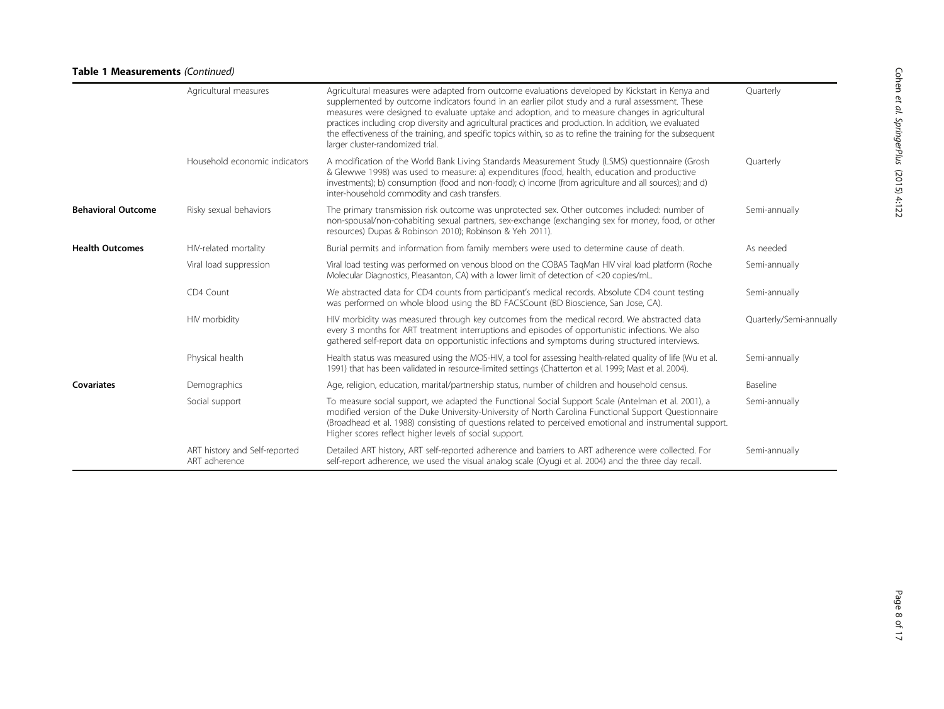# Table 1 Measurements (Continued)

|                           | Agricultural measures                          | Agricultural measures were adapted from outcome evaluations developed by Kickstart in Kenya and<br>supplemented by outcome indicators found in an earlier pilot study and a rural assessment. These<br>measures were designed to evaluate uptake and adoption, and to measure changes in agricultural<br>practices including crop diversity and agricultural practices and production. In addition, we evaluated<br>the effectiveness of the training, and specific topics within, so as to refine the training for the subsequent<br>larger cluster-randomized trial. | Quarterly               |
|---------------------------|------------------------------------------------|------------------------------------------------------------------------------------------------------------------------------------------------------------------------------------------------------------------------------------------------------------------------------------------------------------------------------------------------------------------------------------------------------------------------------------------------------------------------------------------------------------------------------------------------------------------------|-------------------------|
|                           | Household economic indicators                  | A modification of the World Bank Living Standards Measurement Study (LSMS) questionnaire (Grosh<br>& Glewwe 1998) was used to measure: a) expenditures (food, health, education and productive<br>investments); b) consumption (food and non-food); c) income (from agriculture and all sources); and d)<br>inter-household commodity and cash transfers.                                                                                                                                                                                                              | Quarterly               |
| <b>Behavioral Outcome</b> | Risky sexual behaviors                         | The primary transmission risk outcome was unprotected sex. Other outcomes included: number of<br>non-spousal/non-cohabiting sexual partners, sex-exchange (exchanging sex for money, food, or other<br>resources) Dupas & Robinson 2010); Robinson & Yeh 2011).                                                                                                                                                                                                                                                                                                        | Semi-annually           |
| <b>Health Outcomes</b>    | HIV-related mortality                          | Burial permits and information from family members were used to determine cause of death.                                                                                                                                                                                                                                                                                                                                                                                                                                                                              | As needed               |
|                           | Viral load suppression                         | Viral load testing was performed on venous blood on the COBAS TagMan HIV viral load platform (Roche<br>Molecular Diagnostics, Pleasanton, CA) with a lower limit of detection of <20 copies/mL.                                                                                                                                                                                                                                                                                                                                                                        | Semi-annually           |
|                           | CD4 Count                                      | We abstracted data for CD4 counts from participant's medical records. Absolute CD4 count testing<br>was performed on whole blood using the BD FACSCount (BD Bioscience, San Jose, CA).                                                                                                                                                                                                                                                                                                                                                                                 | Semi-annually           |
|                           | HIV morbidity                                  | HIV morbidity was measured through key outcomes from the medical record. We abstracted data<br>every 3 months for ART treatment interruptions and episodes of opportunistic infections. We also<br>gathered self-report data on opportunistic infections and symptoms during structured interviews.                                                                                                                                                                                                                                                                    | Quarterly/Semi-annually |
|                           | Physical health                                | Health status was measured using the MOS-HIV, a tool for assessing health-related quality of life (Wu et al.<br>1991) that has been validated in resource-limited settings (Chatterton et al. 1999; Mast et al. 2004).                                                                                                                                                                                                                                                                                                                                                 | Semi-annually           |
| Covariates                | Demographics                                   | Age, religion, education, marital/partnership status, number of children and household census.                                                                                                                                                                                                                                                                                                                                                                                                                                                                         | Baseline                |
|                           | Social support                                 | To measure social support, we adapted the Functional Social Support Scale (Antelman et al. 2001), a<br>modified version of the Duke University-University of North Carolina Functional Support Questionnaire<br>(Broadhead et al. 1988) consisting of questions related to perceived emotional and instrumental support.<br>Higher scores reflect higher levels of social support.                                                                                                                                                                                     | Semi-annually           |
|                           | ART history and Self-reported<br>ART adherence | Detailed ART history, ART self-reported adherence and barriers to ART adherence were collected. For<br>self-report adherence, we used the visual analog scale (Oyugi et al. 2004) and the three day recall.                                                                                                                                                                                                                                                                                                                                                            | Semi-annually           |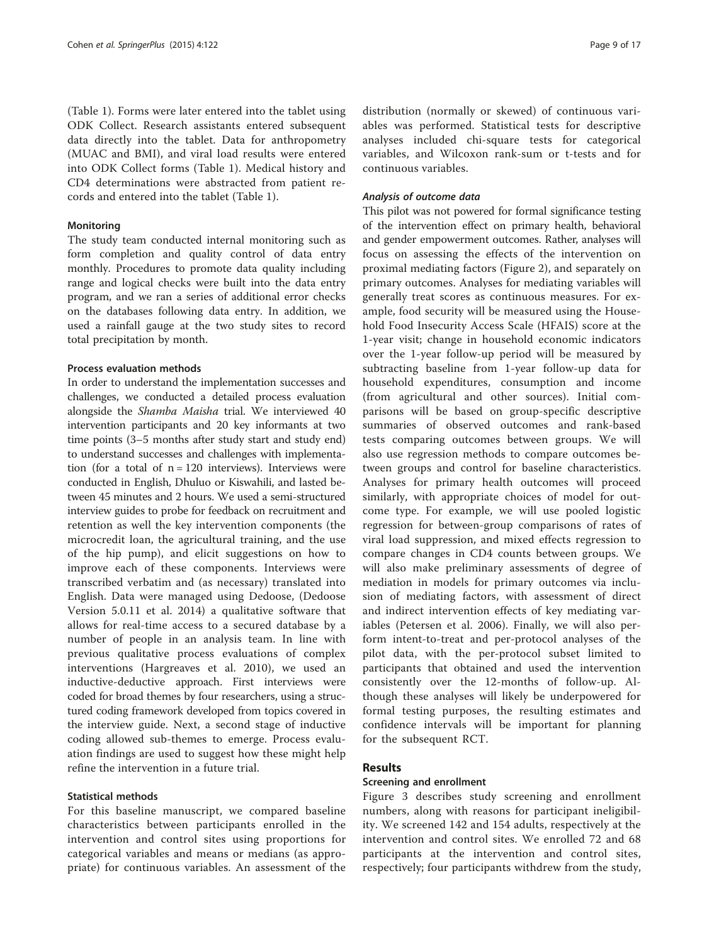(Table [1\)](#page-6-0). Forms were later entered into the tablet using ODK Collect. Research assistants entered subsequent data directly into the tablet. Data for anthropometry (MUAC and BMI), and viral load results were entered into ODK Collect forms (Table [1](#page-6-0)). Medical history and CD4 determinations were abstracted from patient records and entered into the tablet (Table [1\)](#page-6-0).

#### Monitoring

The study team conducted internal monitoring such as form completion and quality control of data entry monthly. Procedures to promote data quality including range and logical checks were built into the data entry program, and we ran a series of additional error checks on the databases following data entry. In addition, we used a rainfall gauge at the two study sites to record total precipitation by month.

# Process evaluation methods

In order to understand the implementation successes and challenges, we conducted a detailed process evaluation alongside the Shamba Maisha trial. We interviewed 40 intervention participants and 20 key informants at two time points (3–5 months after study start and study end) to understand successes and challenges with implementation (for a total of  $n = 120$  interviews). Interviews were conducted in English, Dhuluo or Kiswahili, and lasted between 45 minutes and 2 hours. We used a semi-structured interview guides to probe for feedback on recruitment and retention as well the key intervention components (the microcredit loan, the agricultural training, and the use of the hip pump), and elicit suggestions on how to improve each of these components. Interviews were transcribed verbatim and (as necessary) translated into English. Data were managed using Dedoose, (Dedoose Version 5.0.11 et al. [2014](#page-14-0)) a qualitative software that allows for real-time access to a secured database by a number of people in an analysis team. In line with previous qualitative process evaluations of complex interventions (Hargreaves et al. [2010\)](#page-14-0), we used an inductive-deductive approach. First interviews were coded for broad themes by four researchers, using a structured coding framework developed from topics covered in the interview guide. Next, a second stage of inductive coding allowed sub-themes to emerge. Process evaluation findings are used to suggest how these might help refine the intervention in a future trial.

# Statistical methods

For this baseline manuscript, we compared baseline characteristics between participants enrolled in the intervention and control sites using proportions for categorical variables and means or medians (as appropriate) for continuous variables. An assessment of the distribution (normally or skewed) of continuous variables was performed. Statistical tests for descriptive analyses included chi-square tests for categorical variables, and Wilcoxon rank-sum or t-tests and for continuous variables.

#### Analysis of outcome data

This pilot was not powered for formal significance testing of the intervention effect on primary health, behavioral and gender empowerment outcomes. Rather, analyses will focus on assessing the effects of the intervention on proximal mediating factors (Figure [2](#page-4-0)), and separately on primary outcomes. Analyses for mediating variables will generally treat scores as continuous measures. For example, food security will be measured using the Household Food Insecurity Access Scale (HFAIS) score at the 1-year visit; change in household economic indicators over the 1-year follow-up period will be measured by subtracting baseline from 1-year follow-up data for household expenditures, consumption and income (from agricultural and other sources). Initial comparisons will be based on group-specific descriptive summaries of observed outcomes and rank-based tests comparing outcomes between groups. We will also use regression methods to compare outcomes between groups and control for baseline characteristics. Analyses for primary health outcomes will proceed similarly, with appropriate choices of model for outcome type. For example, we will use pooled logistic regression for between-group comparisons of rates of viral load suppression, and mixed effects regression to compare changes in CD4 counts between groups. We will also make preliminary assessments of degree of mediation in models for primary outcomes via inclusion of mediating factors, with assessment of direct and indirect intervention effects of key mediating variables (Petersen et al. [2006\)](#page-15-0). Finally, we will also perform intent-to-treat and per-protocol analyses of the pilot data, with the per-protocol subset limited to participants that obtained and used the intervention consistently over the 12-months of follow-up. Although these analyses will likely be underpowered for formal testing purposes, the resulting estimates and confidence intervals will be important for planning for the subsequent RCT.

# Results

#### Screening and enrollment

Figure [3](#page-5-0) describes study screening and enrollment numbers, along with reasons for participant ineligibility. We screened 142 and 154 adults, respectively at the intervention and control sites. We enrolled 72 and 68 participants at the intervention and control sites, respectively; four participants withdrew from the study,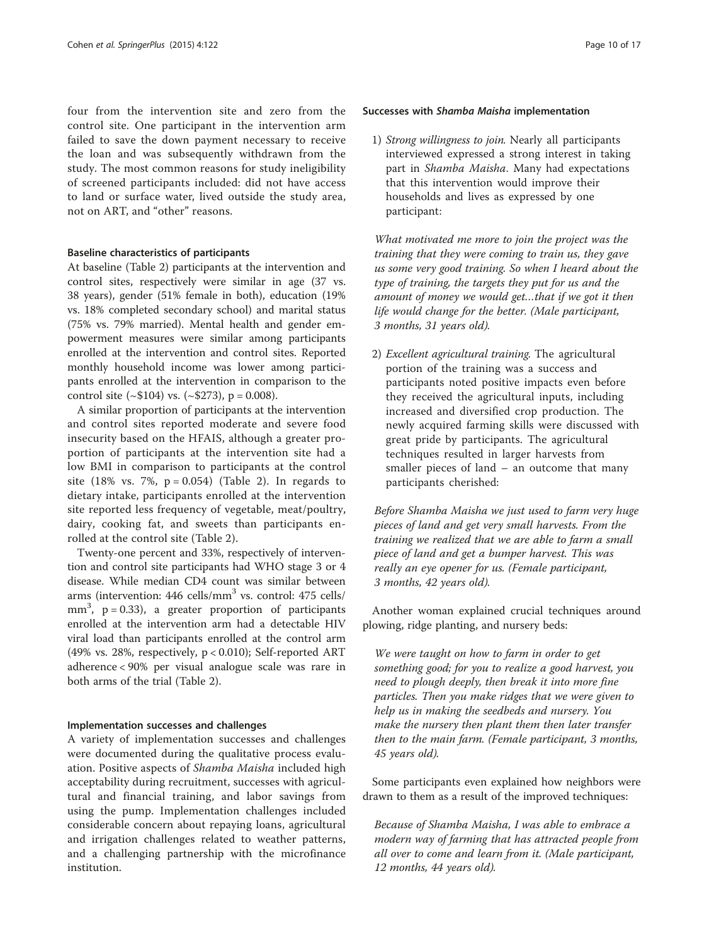four from the intervention site and zero from the control site. One participant in the intervention arm failed to save the down payment necessary to receive the loan and was subsequently withdrawn from the study. The most common reasons for study ineligibility of screened participants included: did not have access to land or surface water, lived outside the study area, not on ART, and "other" reasons.

# Baseline characteristics of participants

At baseline (Table [2\)](#page-10-0) participants at the intervention and control sites, respectively were similar in age (37 vs. 38 years), gender (51% female in both), education (19% vs. 18% completed secondary school) and marital status (75% vs. 79% married). Mental health and gender empowerment measures were similar among participants enrolled at the intervention and control sites. Reported monthly household income was lower among participants enrolled at the intervention in comparison to the control site  $(\sim 104)$  vs.  $(\sim 273)$ , p = 0.008).

A similar proportion of participants at the intervention and control sites reported moderate and severe food insecurity based on the HFAIS, although a greater proportion of participants at the intervention site had a low BMI in comparison to participants at the control site (18% vs. 7%,  $p = 0.054$ ) (Table [2\)](#page-10-0). In regards to dietary intake, participants enrolled at the intervention site reported less frequency of vegetable, meat/poultry, dairy, cooking fat, and sweets than participants enrolled at the control site (Table [2\)](#page-10-0).

Twenty-one percent and 33%, respectively of intervention and control site participants had WHO stage 3 or 4 disease. While median CD4 count was similar between arms (intervention: 446 cells/mm<sup>3</sup> vs. control: 475 cells/ mm<sup>3</sup>,  $p = 0.33$ ), a greater proportion of participants enrolled at the intervention arm had a detectable HIV viral load than participants enrolled at the control arm (49% vs. 28%, respectively, p < 0.010); Self-reported ART adherence < 90% per visual analogue scale was rare in both arms of the trial (Table [2\)](#page-10-0).

### Implementation successes and challenges

A variety of implementation successes and challenges were documented during the qualitative process evaluation. Positive aspects of Shamba Maisha included high acceptability during recruitment, successes with agricultural and financial training, and labor savings from using the pump. Implementation challenges included considerable concern about repaying loans, agricultural and irrigation challenges related to weather patterns, and a challenging partnership with the microfinance institution.

#### Successes with Shamba Maisha implementation

1) Strong willingness to join. Nearly all participants interviewed expressed a strong interest in taking part in Shamba Maisha. Many had expectations that this intervention would improve their households and lives as expressed by one participant:

What motivated me more to join the project was the training that they were coming to train us, they gave us some very good training. So when I heard about the type of training, the targets they put for us and the amount of money we would get…that if we got it then life would change for the better. (Male participant, 3 months, 31 years old).

2) Excellent agricultural training. The agricultural portion of the training was a success and participants noted positive impacts even before they received the agricultural inputs, including increased and diversified crop production. The newly acquired farming skills were discussed with great pride by participants. The agricultural techniques resulted in larger harvests from smaller pieces of land – an outcome that many participants cherished:

Before Shamba Maisha we just used to farm very huge pieces of land and get very small harvests. From the training we realized that we are able to farm a small piece of land and get a bumper harvest. This was really an eye opener for us. (Female participant, 3 months, 42 years old).

Another woman explained crucial techniques around plowing, ridge planting, and nursery beds:

We were taught on how to farm in order to get something good; for you to realize a good harvest, you need to plough deeply, then break it into more fine particles. Then you make ridges that we were given to help us in making the seedbeds and nursery. You make the nursery then plant them then later transfer then to the main farm. (Female participant, 3 months, 45 years old).

Some participants even explained how neighbors were drawn to them as a result of the improved techniques:

Because of Shamba Maisha, I was able to embrace a modern way of farming that has attracted people from all over to come and learn from it. (Male participant, 12 months, 44 years old).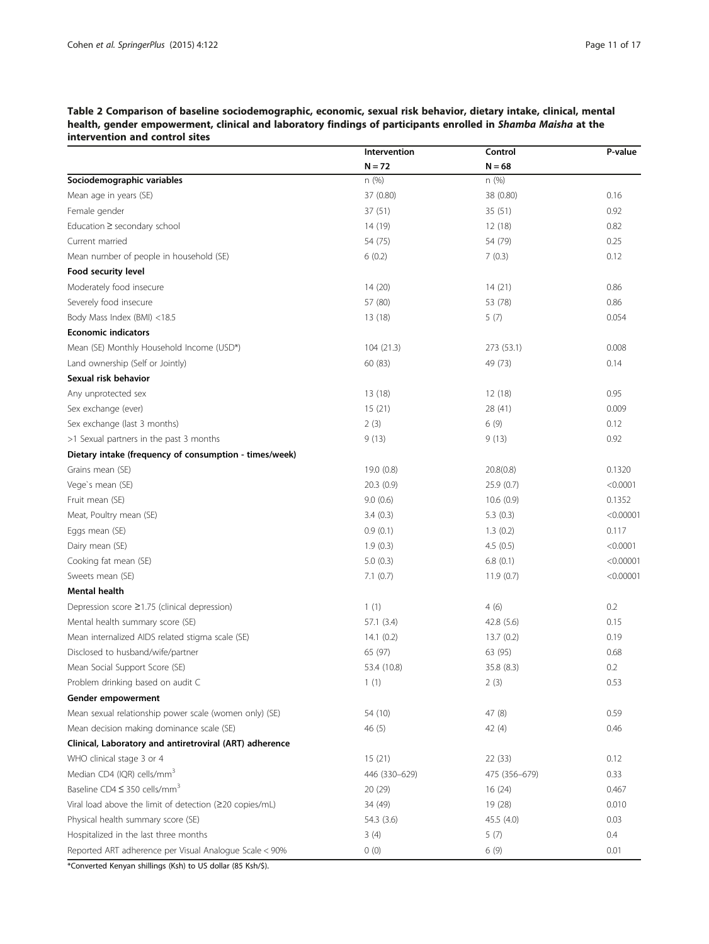<span id="page-10-0"></span>Table 2 Comparison of baseline sociodemographic, economic, sexual risk behavior, dietary intake, clinical, mental health, gender empowerment, clinical and laboratory findings of participants enrolled in Shamba Maisha at the intervention and control sites

| Control                                                                       | P-value   |
|-------------------------------------------------------------------------------|-----------|
| $N = 72$<br>$N = 68$                                                          |           |
| Sociodemographic variables<br>n(%)<br>n (%)                                   |           |
| 37 (0.80)<br>Mean age in years (SE)<br>38 (0.80)                              | 0.16      |
| Female gender<br>37(51)<br>35(51)                                             | 0.92      |
| Education ≥ secondary school<br>14 (19)<br>12(18)                             | 0.82      |
| Current married<br>54 (75)<br>54 (79)                                         | 0.25      |
| Mean number of people in household (SE)<br>6(0.2)<br>7(0.3)                   | 0.12      |
| Food security level                                                           |           |
| Moderately food insecure<br>14 (20)<br>14(21)                                 | 0.86      |
| Severely food insecure<br>57 (80)<br>53 (78)                                  | 0.86      |
| Body Mass Index (BMI) <18.5<br>5(7)<br>13 (18)                                | 0.054     |
| <b>Economic indicators</b>                                                    |           |
| Mean (SE) Monthly Household Income (USD*)<br>104(21.3)<br>273 (53.1)          | 0.008     |
| Land ownership (Self or Jointly)<br>60 (83)<br>49 (73)                        | 0.14      |
| Sexual risk behavior                                                          |           |
| Any unprotected sex<br>13(18)<br>12(18)                                       | 0.95      |
| Sex exchange (ever)<br>15(21)<br>28 (41)                                      | 0.009     |
| 2(3)<br>Sex exchange (last 3 months)<br>6(9)                                  | 0.12      |
| >1 Sexual partners in the past 3 months<br>9(13)<br>9(13)                     | 0.92      |
| Dietary intake (frequency of consumption - times/week)                        |           |
| Grains mean (SE)<br>19.0(0.8)<br>20.8(0.8)                                    | 0.1320    |
| Vege's mean (SE)<br>20.3(0.9)<br>25.9(0.7)                                    | < 0.0001  |
| Fruit mean (SE)<br>9.0(0.6)<br>10.6(0.9)                                      | 0.1352    |
| 5.3(0.3)<br>Meat, Poultry mean (SE)<br>3.4(0.3)                               | < 0.00001 |
| Eggs mean (SE)<br>0.9(0.1)<br>1.3(0.2)                                        | 0.117     |
| Dairy mean (SE)<br>1.9(0.3)<br>4.5(0.5)                                       | < 0.0001  |
| Cooking fat mean (SE)<br>5.0(0.3)<br>6.8(0.1)                                 | < 0.00001 |
| Sweets mean (SE)<br>7.1(0.7)<br>11.9(0.7)                                     | < 0.00001 |
| <b>Mental health</b>                                                          |           |
| Depression score ≥1.75 (clinical depression)<br>1(1)<br>4(6)                  | 0.2       |
| Mental health summary score (SE)<br>57.1 (3.4)<br>42.8 (5.6)                  | 0.15      |
| Mean internalized AIDS related stigma scale (SE)<br>14.1(0.2)<br>13.7(0.2)    | 0.19      |
| Disclosed to husband/wife/partner<br>65 (97)<br>63 (95)                       | 0.68      |
| Mean Social Support Score (SE)<br>53.4 (10.8)<br>35.8 (8.3)                   | 0.2       |
| Problem drinking based on audit C<br>1(1)<br>2(3)                             | 0.53      |
| Gender empowerment                                                            |           |
| Mean sexual relationship power scale (women only) (SE)<br>54 (10)<br>47(8)    | 0.59      |
| Mean decision making dominance scale (SE)<br>46(5)<br>42(4)                   | 0.46      |
| Clinical, Laboratory and antiretroviral (ART) adherence                       |           |
| WHO clinical stage 3 or 4<br>15(21)<br>22 (33)                                | 0.12      |
| Median CD4 (IQR) cells/mm <sup>3</sup><br>446 (330-629)<br>475 (356-679)      | 0.33      |
| Baseline CD4 $\leq$ 350 cells/mm <sup>3</sup><br>20(29)<br>16(24)             | 0.467     |
| Viral load above the limit of detection (≥20 copies/mL)<br>34 (49)<br>19 (28) | 0.010     |
| Physical health summary score (SE)<br>54.3 (3.6)<br>45.5 (4.0)                | 0.03      |
| Hospitalized in the last three months<br>3(4)<br>5(7)                         | 0.4       |
| Reported ART adherence per Visual Analogue Scale < 90%<br>0(0)<br>6(9)        | 0.01      |

\*Converted Kenyan shillings (Ksh) to US dollar (85 Ksh/\$).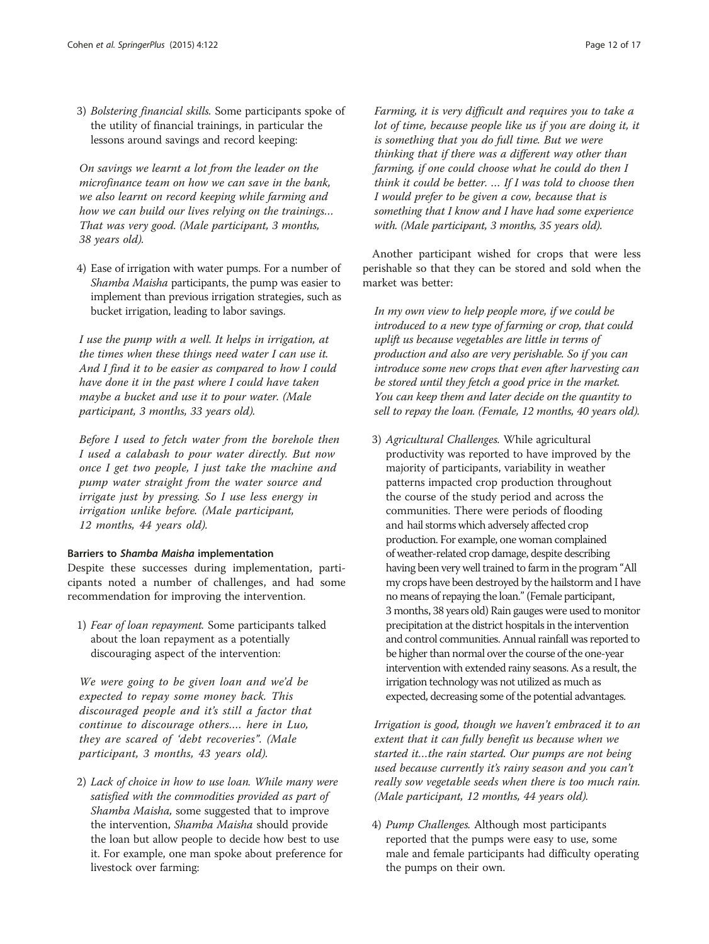3) Bolstering financial skills. Some participants spoke of the utility of financial trainings, in particular the lessons around savings and record keeping:

On savings we learnt a lot from the leader on the microfinance team on how we can save in the bank, we also learnt on record keeping while farming and how we can build our lives relying on the trainings… That was very good. (Male participant, 3 months, 38 years old).

4) Ease of irrigation with water pumps. For a number of Shamba Maisha participants, the pump was easier to implement than previous irrigation strategies, such as bucket irrigation, leading to labor savings.

I use the pump with a well. It helps in irrigation, at the times when these things need water I can use it. And I find it to be easier as compared to how I could have done it in the past where I could have taken maybe a bucket and use it to pour water. (Male participant, 3 months, 33 years old).

Before I used to fetch water from the borehole then I used a calabash to pour water directly. But now once I get two people, I just take the machine and pump water straight from the water source and irrigate just by pressing. So I use less energy in irrigation unlike before. (Male participant, 12 months, 44 years old).

# Barriers to Shamba Maisha implementation

Despite these successes during implementation, participants noted a number of challenges, and had some recommendation for improving the intervention.

1) Fear of loan repayment. Some participants talked about the loan repayment as a potentially discouraging aspect of the intervention:

We were going to be given loan and we'd be expected to repay some money back. This discouraged people and it's still a factor that continue to discourage others…. here in Luo, they are scared of 'debt recoveries". (Male participant, 3 months, 43 years old).

2) Lack of choice in how to use loan. While many were satisfied with the commodities provided as part of Shamba Maisha, some suggested that to improve the intervention, Shamba Maisha should provide the loan but allow people to decide how best to use it. For example, one man spoke about preference for livestock over farming:

Farming, it is very difficult and requires you to take a lot of time, because people like us if you are doing it, it is something that you do full time. But we were thinking that if there was a different way other than farming, if one could choose what he could do then I think it could be better. … If I was told to choose then I would prefer to be given a cow, because that is something that I know and I have had some experience with. (Male participant, 3 months, 35 years old).

Another participant wished for crops that were less perishable so that they can be stored and sold when the market was better:

In my own view to help people more, if we could be introduced to a new type of farming or crop, that could uplift us because vegetables are little in terms of production and also are very perishable. So if you can introduce some new crops that even after harvesting can be stored until they fetch a good price in the market. You can keep them and later decide on the quantity to sell to repay the loan. (Female, 12 months, 40 years old).

3) Agricultural Challenges. While agricultural productivity was reported to have improved by the majority of participants, variability in weather patterns impacted crop production throughout the course of the study period and across the communities. There were periods of flooding and hail storms which adversely affected crop production. For example, one woman complained of weather-related crop damage, despite describing having been very well trained to farm in the program "All my crops have been destroyed by the hailstorm and I have no means of repaying the loan." (Female participant, 3 months, 38 years old) Rain gauges were used to monitor precipitation at the district hospitals in the intervention and control communities. Annual rainfall was reported to be higher than normal over the course of the one-year intervention with extended rainy seasons. As a result, the irrigation technology was not utilized as much as expected, decreasing some of the potential advantages.

Irrigation is good, though we haven't embraced it to an extent that it can fully benefit us because when we started it…the rain started. Our pumps are not being used because currently it's rainy season and you can't really sow vegetable seeds when there is too much rain. (Male participant, 12 months, 44 years old).

4) Pump Challenges. Although most participants reported that the pumps were easy to use, some male and female participants had difficulty operating the pumps on their own.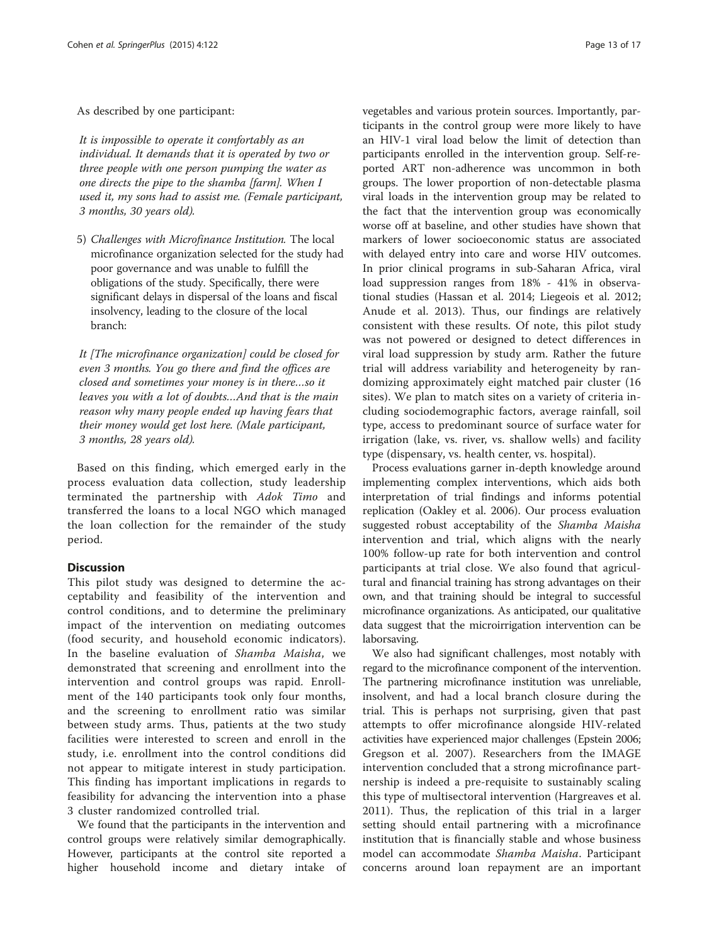As described by one participant:

It is impossible to operate it comfortably as an individual. It demands that it is operated by two or three people with one person pumping the water as one directs the pipe to the shamba [farm]. When I used it, my sons had to assist me. (Female participant, 3 months, 30 years old).

5) Challenges with Microfinance Institution. The local microfinance organization selected for the study had poor governance and was unable to fulfill the obligations of the study. Specifically, there were significant delays in dispersal of the loans and fiscal insolvency, leading to the closure of the local branch:

It [The microfinance organization] could be closed for even 3 months. You go there and find the offices are closed and sometimes your money is in there…so it leaves you with a lot of doubts…And that is the main reason why many people ended up having fears that their money would get lost here. (Male participant, 3 months, 28 years old).

Based on this finding, which emerged early in the process evaluation data collection, study leadership terminated the partnership with Adok Timo and transferred the loans to a local NGO which managed the loan collection for the remainder of the study period.

# Discussion

This pilot study was designed to determine the acceptability and feasibility of the intervention and control conditions, and to determine the preliminary impact of the intervention on mediating outcomes (food security, and household economic indicators). In the baseline evaluation of Shamba Maisha, we demonstrated that screening and enrollment into the intervention and control groups was rapid. Enrollment of the 140 participants took only four months, and the screening to enrollment ratio was similar between study arms. Thus, patients at the two study facilities were interested to screen and enroll in the study, i.e. enrollment into the control conditions did not appear to mitigate interest in study participation. This finding has important implications in regards to feasibility for advancing the intervention into a phase 3 cluster randomized controlled trial.

We found that the participants in the intervention and control groups were relatively similar demographically. However, participants at the control site reported a higher household income and dietary intake of vegetables and various protein sources. Importantly, participants in the control group were more likely to have an HIV-1 viral load below the limit of detection than participants enrolled in the intervention group. Self-reported ART non-adherence was uncommon in both groups. The lower proportion of non-detectable plasma viral loads in the intervention group may be related to the fact that the intervention group was economically worse off at baseline, and other studies have shown that markers of lower socioeconomic status are associated with delayed entry into care and worse HIV outcomes. In prior clinical programs in sub-Saharan Africa, viral load suppression ranges from 18% - 41% in observational studies (Hassan et al. [2014](#page-14-0); Liegeois et al. [2012](#page-15-0); Anude et al. [2013](#page-13-0)). Thus, our findings are relatively consistent with these results. Of note, this pilot study was not powered or designed to detect differences in viral load suppression by study arm. Rather the future trial will address variability and heterogeneity by randomizing approximately eight matched pair cluster (16 sites). We plan to match sites on a variety of criteria including sociodemographic factors, average rainfall, soil type, access to predominant source of surface water for irrigation (lake, vs. river, vs. shallow wells) and facility type (dispensary, vs. health center, vs. hospital).

Process evaluations garner in-depth knowledge around implementing complex interventions, which aids both interpretation of trial findings and informs potential replication (Oakley et al. [2006](#page-15-0)). Our process evaluation suggested robust acceptability of the Shamba Maisha intervention and trial, which aligns with the nearly 100% follow-up rate for both intervention and control participants at trial close. We also found that agricultural and financial training has strong advantages on their own, and that training should be integral to successful microfinance organizations. As anticipated, our qualitative data suggest that the microirrigation intervention can be laborsaving.

We also had significant challenges, most notably with regard to the microfinance component of the intervention. The partnering microfinance institution was unreliable, insolvent, and had a local branch closure during the trial. This is perhaps not surprising, given that past attempts to offer microfinance alongside HIV-related activities have experienced major challenges (Epstein [2006](#page-14-0); Gregson et al. [2007](#page-14-0)). Researchers from the IMAGE intervention concluded that a strong microfinance partnership is indeed a pre-requisite to sustainably scaling this type of multisectoral intervention (Hargreaves et al. [2011\)](#page-14-0). Thus, the replication of this trial in a larger setting should entail partnering with a microfinance institution that is financially stable and whose business model can accommodate Shamba Maisha. Participant concerns around loan repayment are an important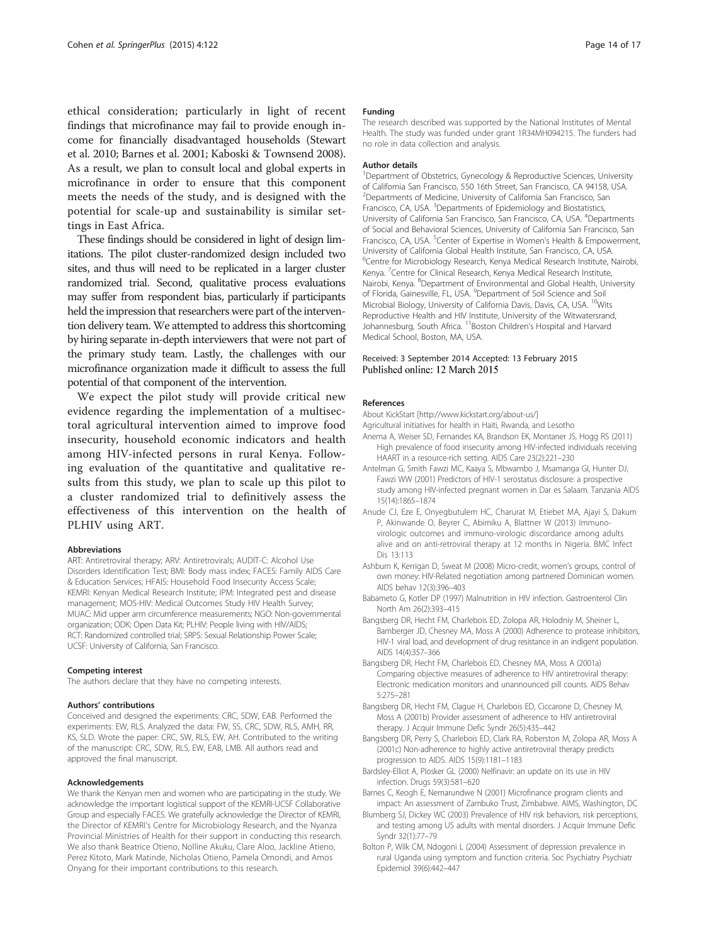<span id="page-13-0"></span>ethical consideration; particularly in light of recent findings that microfinance may fail to provide enough income for financially disadvantaged households (Stewart et al. [2010](#page-16-0); Barnes et al. 2001; Kaboski & Townsend [2008](#page-15-0)). As a result, we plan to consult local and global experts in microfinance in order to ensure that this component meets the needs of the study, and is designed with the potential for scale-up and sustainability is similar settings in East Africa.

These findings should be considered in light of design limitations. The pilot cluster-randomized design included two sites, and thus will need to be replicated in a larger cluster randomized trial. Second, qualitative process evaluations may suffer from respondent bias, particularly if participants held the impression that researchers were part of the intervention delivery team. We attempted to address this shortcoming by hiring separate in-depth interviewers that were not part of the primary study team. Lastly, the challenges with our microfinance organization made it difficult to assess the full potential of that component of the intervention.

We expect the pilot study will provide critical new evidence regarding the implementation of a multisectoral agricultural intervention aimed to improve food insecurity, household economic indicators and health among HIV-infected persons in rural Kenya. Following evaluation of the quantitative and qualitative results from this study, we plan to scale up this pilot to a cluster randomized trial to definitively assess the effectiveness of this intervention on the health of PLHIV using ART.

#### Abbreviations

ART: Antiretroviral therapy; ARV: Antiretrovirals; AUDIT-C: Alcohol Use Disorders Identification Test; BMI: Body mass index; FACES: Family AIDS Care & Education Services; HFAIS: Household Food Insecurity Access Scale; KEMRI: Kenyan Medical Research Institute; IPM: Integrated pest and disease management; MOS-HIV: Medical Outcomes Study HIV Health Survey; MUAC: Mid upper arm circumference measurements; NGO: Non-governmental organization; ODK: Open Data Kit; PLHIV: People living with HIV/AIDS; RCT: Randomized controlled trial; SRPS: Sexual Relationship Power Scale; UCSF: University of California, San Francisco.

#### Competing interest

The authors declare that they have no competing interests.

#### Authors' contributions

Conceived and designed the experiments: CRC, SDW, EAB. Performed the experiments: EW, RLS. Analyzed the data: FW, SS, CRC, SDW, RLS, AMH, RR, KS, SLD. Wrote the paper: CRC, SW, RLS, EW, AH. Contributed to the writing of the manuscript: CRC, SDW, RLS, EW, EAB, LMB. All authors read and approved the final manuscript.

#### Acknowledgements

We thank the Kenyan men and women who are participating in the study. We acknowledge the important logistical support of the KEMRI-UCSF Collaborative Group and especially FACES. We gratefully acknowledge the Director of KEMRI, the Director of KEMRI's Centre for Microbiology Research, and the Nyanza Provincial Ministries of Health for their support in conducting this research. We also thank Beatrice Otieno, Nolline Akuku, Clare Aloo, Jackline Atieno, Perez Kitoto, Mark Matinde, Nicholas Otieno, Pamela Omondi, and Amos Onyang for their important contributions to this research.

#### Funding

The research described was supported by the National Institutes of Mental Health. The study was funded under grant 1R34MH094215. The funders had no role in data collection and analysis.

#### Author details

<sup>1</sup>Department of Obstetrics, Gynecology & Reproductive Sciences, University of California San Francisco, 550 16th Street, San Francisco, CA 94158, USA. 2 Departments of Medicine, University of California San Francisco, San Francisco, CA, USA. <sup>3</sup>Departments of Epidemiology and Biostatistics University of California San Francisco, San Francisco, CA, USA. <sup>4</sup>Departments of Social and Behavioral Sciences, University of California San Francisco, San Francisco, CA, USA. <sup>5</sup>Center of Expertise in Women's Health & Empowerment, University of California Global Health Institute, San Francisco, CA, USA. 6 Centre for Microbiology Research, Kenya Medical Research Institute, Nairobi, Kenya. <sup>7</sup>Centre for Clinical Research, Kenya Medical Research Institute Nairobi, Kenya. <sup>8</sup>Department of Environmental and Global Health, University of Florida, Gainesville, FL, USA. <sup>9</sup>Department of Soil Science and Soil Microbial Biology, University of California Davis, Davis, CA, USA. <sup>10</sup>Wits Reproductive Health and HIV Institute, University of the Witwatersrand, Johannesburg, South Africa. <sup>11</sup>Boston Children's Hospital and Harvard Medical School, Boston, MA, USA.

#### Received: 3 September 2014 Accepted: 13 February 2015 Published online: 12 March 2015

#### References

- About KickStart [\[http://www.kickstart.org/about-us/\]](http://www.kickstart.org/about-us/)
- Agricultural initiatives for health in Haiti, Rwanda, and Lesotho
- Anema A, Weiser SD, Fernandes KA, Brandson EK, Montaner JS, Hogg RS (2011) High prevalence of food insecurity among HIV-infected individuals receiving HAART in a resource-rich setting. AIDS Care 23(2):221–230
- Antelman G, Smith Fawzi MC, Kaaya S, Mbwambo J, Msamanga GI, Hunter DJ, Fawzi WW (2001) Predictors of HIV-1 serostatus disclosure: a prospective study among HIV-infected pregnant women in Dar es Salaam. Tanzania AIDS 15(14):1865–1874
- Anude CJ, Eze E, Onyegbutulem HC, Charurat M, Etiebet MA, Ajayi S, Dakum P, Akinwande O, Beyrer C, Abimiku A, Blattner W (2013) Immunovirologic outcomes and immuno-virologic discordance among adults alive and on anti-retroviral therapy at 12 months in Nigeria. BMC Infect Dis 13:113
- Ashburn K, Kerrigan D, Sweat M (2008) Micro-credit, women's groups, control of own money: HIV-Related negotiation among partnered Dominican women. AIDS behav 12(3):396–403
- Babameto G, Kotler DP (1997) Malnutrition in HIV infection. Gastroenterol Clin North Am 26(2):393–415
- Bangsberg DR, Hecht FM, Charlebois ED, Zolopa AR, Holodniy M, Sheiner L, Bamberger JD, Chesney MA, Moss A (2000) Adherence to protease inhibitors, HIV-1 viral load, and development of drug resistance in an indigent population. AIDS 14(4):357–366
- Bangsberg DR, Hecht FM, Charlebois ED, Chesney MA, Moss A (2001a) Comparing objective measures of adherence to HIV antiretroviral therapy: Electronic medication monitors and unannounced pill counts. AIDS Behav 5:275–281
- Bangsberg DR, Hecht FM, Clague H, Charlebois ED, Ciccarone D, Chesney M, Moss A (2001b) Provider assessment of adherence to HIV antiretroviral therapy. J Acquir Immune Defic Syndr 26(5):435–442
- Bangsberg DR, Perry S, Charlebois ED, Clark RA, Roberston M, Zolopa AR, Moss A (2001c) Non-adherence to highly active antiretroviral therapy predicts progression to AIDS. AIDS 15(9):1181–1183
- Bardsley-Elliot A, Plosker GL (2000) Nelfinavir: an update on its use in HIV infection. Drugs 59(3):581–620
- Barnes C, Keogh E, Nemarundwe N (2001) Microfinance program clients and impact: An assessment of Zambuko Trust, Zimbabwe. AIMS, Washington, DC
- Blumberg SJ, Dickey WC (2003) Prevalence of HIV risk behaviors, risk perceptions, and testing among US adults with mental disorders. J Acquir Immune Defic Syndr 32(1):77–79
- Bolton P, Wilk CM, Ndogoni L (2004) Assessment of depression prevalence in rural Uganda using symptom and function criteria. Soc Psychiatry Psychiatr Epidemiol 39(6):442–447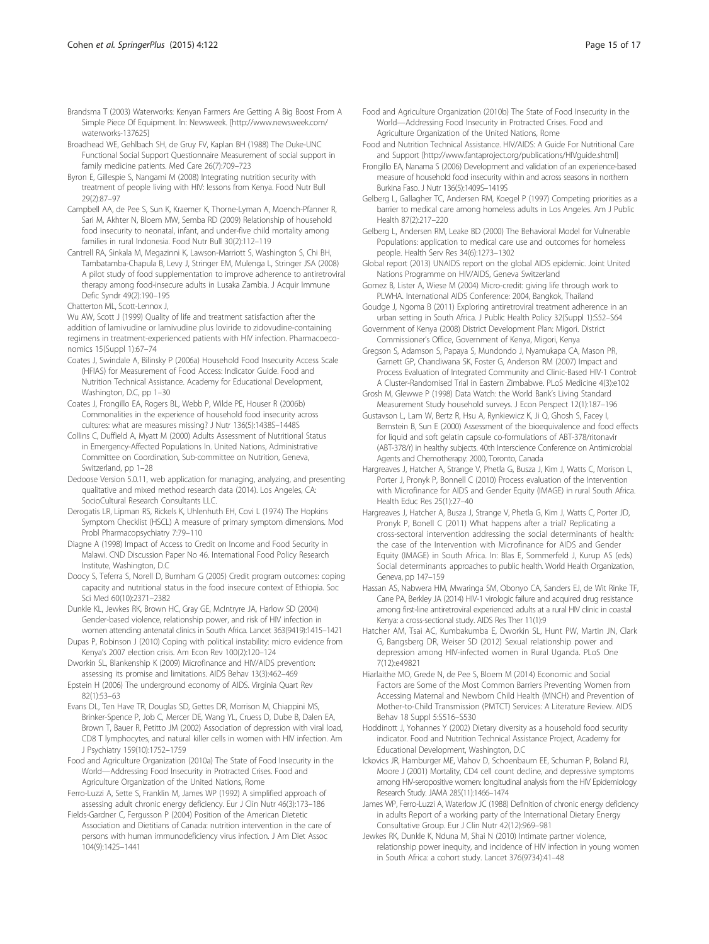- <span id="page-14-0"></span>Brandsma T (2003) Waterworks: Kenyan Farmers Are Getting A Big Boost From A Simple Piece Of Equipment. In: Newsweek. [[http://www.newsweek.com/](http://www.newsweek.com/waterworks-137625) [waterworks-137625\]](http://www.newsweek.com/waterworks-137625)
- Broadhead WE, Gehlbach SH, de Gruy FV, Kaplan BH (1988) The Duke-UNC Functional Social Support Questionnaire Measurement of social support in family medicine patients. Med Care 26(7):709–723
- Byron E, Gillespie S, Nangami M (2008) Integrating nutrition security with treatment of people living with HIV: lessons from Kenya. Food Nutr Bull 29(2):87–97
- Campbell AA, de Pee S, Sun K, Kraemer K, Thorne-Lyman A, Moench-Pfanner R, Sari M, Akhter N, Bloem MW, Semba RD (2009) Relationship of household food insecurity to neonatal, infant, and under-five child mortality among families in rural Indonesia. Food Nutr Bull 30(2):112–119
- Cantrell RA, Sinkala M, Megazinni K, Lawson-Marriott S, Washington S, Chi BH, Tambatamba-Chapula B, Levy J, Stringer EM, Mulenga L, Stringer JSA (2008) A pilot study of food supplementation to improve adherence to antiretroviral therapy among food-insecure adults in Lusaka Zambia. J Acquir Immune Defic Syndr 49(2):190–195
- Chatterton ML, Scott-Lennox J,

Wu AW, Scott J (1999) Quality of life and treatment satisfaction after the addition of lamivudine or lamivudine plus loviride to zidovudine-containing regimens in treatment-experienced patients with HIV infection. Pharmacoeconomics 15(Suppl 1):67–74

- Coates J, Swindale A, Bilinsky P (2006a) Household Food Insecurity Access Scale (HFIAS) for Measurement of Food Access: Indicator Guide. Food and Nutrition Technical Assistance. Academy for Educational Development, Washington, D.C, pp 1–30
- Coates J, Frongillo EA, Rogers BL, Webb P, Wilde PE, Houser R (2006b) Commonalities in the experience of household food insecurity across cultures: what are measures missing? J Nutr 136(5):1438S–1448S
- Collins C, Duffield A, Myatt M (2000) Adults Assessment of Nutritional Status in Emergency-Affected Populations In. United Nations, Administrative Committee on Coordination, Sub-committee on Nutrition, Geneva, Switzerland, pp 1–28
- Dedoose Version 5.0.11, web application for managing, analyzing, and presenting qualitative and mixed method research data (2014). Los Angeles, CA: SocioCultural Research Consultants LLC.
- Derogatis LR, Lipman RS, Rickels K, Uhlenhuth EH, Covi L (1974) The Hopkins Symptom Checklist (HSCL) A measure of primary symptom dimensions. Mod Probl Pharmacopsychiatry 7:79–110
- Diagne A (1998) Impact of Access to Credit on Income and Food Security in Malawi. CND Discussion Paper No 46. International Food Policy Research Institute, Washington, D.C
- Doocy S, Teferra S, Norell D, Burnham G (2005) Credit program outcomes: coping capacity and nutritional status in the food insecure context of Ethiopia. Soc Sci Med 60(10):2371–2382
- Dunkle KL, Jewkes RK, Brown HC, Gray GE, McIntryre JA, Harlow SD (2004) Gender-based violence, relationship power, and risk of HIV infection in women attending antenatal clinics in South Africa. Lancet 363(9419):1415–1421
- Dupas P, Robinson J (2010) Coping with political instability: micro evidence from Kenya's 2007 election crisis. Am Econ Rev 100(2):120–124
- Dworkin SL, Blankenship K (2009) Microfinance and HIV/AIDS prevention: assessing its promise and limitations. AIDS Behav 13(3):462–469
- Epstein H (2006) The underground economy of AIDS. Virginia Quart Rev 82(1):53–63
- Evans DL, Ten Have TR, Douglas SD, Gettes DR, Morrison M, Chiappini MS, Brinker-Spence P, Job C, Mercer DE, Wang YL, Cruess D, Dube B, Dalen EA, Brown T, Bauer R, Petitto JM (2002) Association of depression with viral load, CD8 T lymphocytes, and natural killer cells in women with HIV infection. Am J Psychiatry 159(10):1752–1759
- Food and Agriculture Organization (2010a) The State of Food Insecurity in the World—Addressing Food Insecurity in Protracted Crises. Food and Agriculture Organization of the United Nations, Rome
- Ferro-Luzzi A, Sette S, Franklin M, James WP (1992) A simplified approach of assessing adult chronic energy deficiency. Eur J Clin Nutr 46(3):173–186
- Fields-Gardner C, Fergusson P (2004) Position of the American Dietetic Association and Dietitians of Canada: nutrition intervention in the care of persons with human immunodeficiency virus infection. J Am Diet Assoc 104(9):1425–1441
- Food and Agriculture Organization (2010b) The State of Food Insecurity in the World—Addressing Food Insecurity in Protracted Crises. Food and Agriculture Organization of the United Nations, Rome
- Food and Nutrition Technical Assistance. HIV/AIDS: A Guide For Nutritional Care and Support [\[http://www.fantaproject.org/publications/HIVguide.shtml\]](http://www.fantaproject.org/publications/HIVguide.shtml)
- Frongillo EA, Nanama S (2006) Development and validation of an experience-based measure of household food insecurity within and across seasons in northern Burkina Faso. J Nutr 136(5):1409S–1419S
- Gelberg L, Gallagher TC, Andersen RM, Koegel P (1997) Competing priorities as a barrier to medical care among homeless adults in Los Angeles. Am J Public Health 87(2):217–220
- Gelberg L, Andersen RM, Leake BD (2000) The Behavioral Model for Vulnerable Populations: application to medical care use and outcomes for homeless people. Health Serv Res 34(6):1273–1302
- Global report (2013) UNAIDS report on the global AIDS epidemic. Joint United Nations Programme on HIV/AIDS, Geneva Switzerland
- Gomez B, Lister A, Wiese M (2004) Micro-credit: giving life through work to PLWHA. International AIDS Conference: 2004, Bangkok, Thailand
- Goudge J, Ngoma B (2011) Exploring antiretroviral treatment adherence in an urban setting in South Africa. J Public Health Policy 32(Suppl 1):S52–S64
- Government of Kenya (2008) District Development Plan: Migori. District Commissioner's Office, Government of Kenya, Migori, Kenya
- Gregson S, Adamson S, Papaya S, Mundondo J, Nyamukapa CA, Mason PR, Garnett GP, Chandiwana SK, Foster G, Anderson RM (2007) Impact and Process Evaluation of Integrated Community and Clinic-Based HIV-1 Control: A Cluster-Randomised Trial in Eastern Zimbabwe. PLoS Medicine 4(3):e102
- Grosh M, Glewwe P (1998) Data Watch: the World Bank's Living Standard Measurement Study household surveys. J Econ Perspect 12(1):187–196
- Gustavson L, Lam W, Bertz R, Hsu A, Rynkiewicz K, Ji Q, Ghosh S, Facey I, Bernstein B, Sun E (2000) Assessment of the bioequivalence and food effects for liquid and soft gelatin capsule co-formulations of ABT-378/ritonavir (ABT-378/r) in healthy subjects. 40th Interscience Conference on Antimicrobial Agents and Chemotherapy: 2000, Toronto, Canada
- Hargreaves J, Hatcher A, Strange V, Phetla G, Busza J, Kim J, Watts C, Morison L, Porter J, Pronyk P, Bonnell C (2010) Process evaluation of the Intervention with Microfinance for AIDS and Gender Equity (IMAGE) in rural South Africa. Health Educ Res 25(1):27–40
- Hargreaves J, Hatcher A, Busza J, Strange V, Phetla G, Kim J, Watts C, Porter JD, Pronyk P, Bonell C (2011) What happens after a trial? Replicating a cross-sectoral intervention addressing the social determinants of health: the case of the Intervention with Microfinance for AIDS and Gender Equity (IMAGE) in South Africa. In: Blas E, Sommerfeld J, Kurup AS (eds) Social determinants approaches to public health. World Health Organization, Geneva, pp 147–159
- Hassan AS, Nabwera HM, Mwaringa SM, Obonyo CA, Sanders EJ, de Wit Rinke TF, Cane PA, Berkley JA (2014) HIV-1 virologic failure and acquired drug resistance among first-line antiretroviral experienced adults at a rural HIV clinic in coastal Kenya: a cross-sectional study. AIDS Res Ther 11(1):9
- Hatcher AM, Tsai AC, Kumbakumba E, Dworkin SL, Hunt PW, Martin JN, Clark G, Bangsberg DR, Weiser SD (2012) Sexual relationship power and depression among HIV-infected women in Rural Uganda. PLoS One 7(12):e49821
- Hiarlaithe MO, Grede N, de Pee S, Bloem M (2014) Economic and Social Factors are Some of the Most Common Barriers Preventing Women from Accessing Maternal and Newborn Child Health (MNCH) and Prevention of Mother-to-Child Transmission (PMTCT) Services: A Literature Review. AIDS Behav 18 Suppl 5:S516–S530
- Hoddinott J, Yohannes Y (2002) Dietary diversity as a household food security indicator. Food and Nutrition Technical Assistance Project, Academy for Educational Development, Washington, D.C
- Ickovics JR, Hamburger ME, Vlahov D, Schoenbaum EE, Schuman P, Boland RJ, Moore J (2001) Mortality, CD4 cell count decline, and depressive symptoms among HIV-seropositive women: longitudinal analysis from the HIV Epidemiology Research Study. JAMA 285(11):1466–1474
- James WP, Ferro-Luzzi A, Waterlow JC (1988) Definition of chronic energy deficiency in adults Report of a working party of the International Dietary Energy Consultative Group. Eur J Clin Nutr 42(12):969–981
- Jewkes RK, Dunkle K, Nduna M, Shai N (2010) Intimate partner violence, relationship power inequity, and incidence of HIV infection in young women in South Africa: a cohort study. Lancet 376(9734):41–48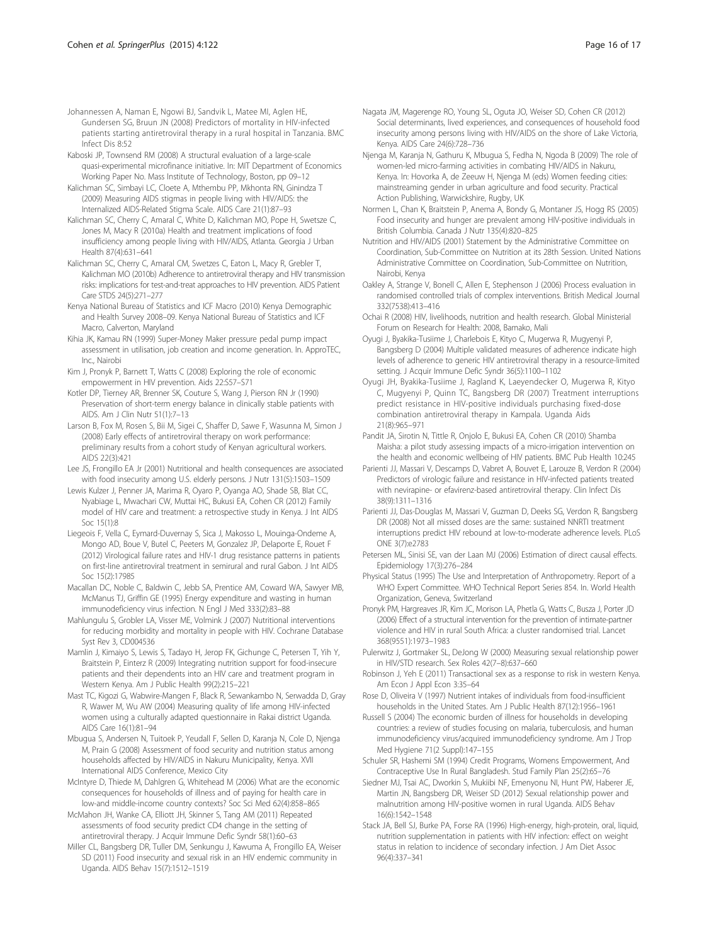<span id="page-15-0"></span>Johannessen A, Naman E, Ngowi BJ, Sandvik L, Matee MI, Aglen HE, Gundersen SG, Bruun JN (2008) Predictors of mortality in HIV-infected patients starting antiretroviral therapy in a rural hospital in Tanzania. BMC Infect Dis 8:52

- Kaboski JP, Townsend RM (2008) A structural evaluation of a large-scale quasi-experimental microfinance initiative. In: MIT Department of Economics Working Paper No. Mass Institute of Technology, Boston, pp 09–12
- Kalichman SC, Simbayi LC, Cloete A, Mthembu PP, Mkhonta RN, Ginindza T (2009) Measuring AIDS stigmas in people living with HIV/AIDS: the Internalized AIDS-Related Stigma Scale. AIDS Care 21(1):87–93
- Kalichman SC, Cherry C, Amaral C, White D, Kalichman MO, Pope H, Swetsze C, Jones M, Macy R (2010a) Health and treatment implications of food insufficiency among people living with HIV/AIDS, Atlanta. Georgia J Urban Health 87(4):631–641
- Kalichman SC, Cherry C, Amaral CM, Swetzes C, Eaton L, Macy R, Grebler T, Kalichman MO (2010b) Adherence to antiretroviral therapy and HIV transmission risks: implications for test-and-treat approaches to HIV prevention. AIDS Patient Care STDS 24(5):271–277
- Kenya National Bureau of Statistics and ICF Macro (2010) Kenya Demographic and Health Survey 2008–09. Kenya National Bureau of Statistics and ICF Macro, Calverton, Maryland
- Kihia JK, Kamau RN (1999) Super-Money Maker pressure pedal pump impact assessment in utilisation, job creation and income generation. In. ApproTEC, Inc., Nairobi
- Kim J, Pronyk P, Barnett T, Watts C (2008) Exploring the role of economic empowerment in HIV prevention. Aids 22:S57–S71
- Kotler DP, Tierney AR, Brenner SK, Couture S, Wang J, Pierson RN Jr (1990) Preservation of short-term energy balance in clinically stable patients with AIDS. Am J Clin Nutr 51(1):7–13
- Larson B, Fox M, Rosen S, Bii M, Sigei C, Shaffer D, Sawe F, Wasunna M, Simon J (2008) Early effects of antiretroviral therapy on work performance: preliminary results from a cohort study of Kenyan agricultural workers. AIDS 22(3):421
- Lee JS, Frongillo EA Jr (2001) Nutritional and health consequences are associated with food insecurity among U.S. elderly persons. J Nutr 131(5):1503–1509
- Lewis Kulzer J, Penner JA, Marima R, Oyaro P, Oyanga AO, Shade SB, Blat CC, Nyabiage L, Mwachari CW, Muttai HC, Bukusi EA, Cohen CR (2012) Family model of HIV care and treatment: a retrospective study in Kenya. J Int AIDS Soc 15(1):8
- Liegeois F, Vella C, Eymard-Duvernay S, Sica J, Makosso L, Mouinga-Ondeme A, Mongo AD, Boue V, Butel C, Peeters M, Gonzalez JP, Delaporte E, Rouet F (2012) Virological failure rates and HIV-1 drug resistance patterns in patients on first-line antiretroviral treatment in semirural and rural Gabon. J Int AIDS Soc 15(2):17985
- Macallan DC, Noble C, Baldwin C, Jebb SA, Prentice AM, Coward WA, Sawyer MB, McManus TJ, Griffin GE (1995) Energy expenditure and wasting in human immunodeficiency virus infection. N Engl J Med 333(2):83–88
- Mahlungulu S, Grobler LA, Visser ME, Volmink J (2007) Nutritional interventions for reducing morbidity and mortality in people with HIV. Cochrane Database Syst Rev 3, CD004536
- Mamlin J, Kimaiyo S, Lewis S, Tadayo H, Jerop FK, Gichunge C, Petersen T, Yih Y, Braitstein P, Einterz R (2009) Integrating nutrition support for food-insecure patients and their dependents into an HIV care and treatment program in Western Kenya. Am J Public Health 99(2):215–221
- Mast TC, Kigozi G, Wabwire-Mangen F, Black R, Sewankambo N, Serwadda D, Gray R, Wawer M, Wu AW (2004) Measuring quality of life among HIV-infected women using a culturally adapted questionnaire in Rakai district Uganda. AIDS Care 16(1):81–94
- Mbugua S, Andersen N, Tuitoek P, Yeudall F, Sellen D, Karanja N, Cole D, Njenga M, Prain G (2008) Assessment of food security and nutrition status among households affected by HIV/AIDS in Nakuru Municipality, Kenya. XVII International AIDS Conference, Mexico City
- McIntyre D, Thiede M, Dahlgren G, Whitehead M (2006) What are the economic consequences for households of illness and of paying for health care in low-and middle-income country contexts? Soc Sci Med 62(4):858–865
- McMahon JH, Wanke CA, Elliott JH, Skinner S, Tang AM (2011) Repeated assessments of food security predict CD4 change in the setting of antiretroviral therapy. J Acquir Immune Defic Syndr 58(1):60–63
- Miller CL, Bangsberg DR, Tuller DM, Senkungu J, Kawuma A, Frongillo EA, Weiser SD (2011) Food insecurity and sexual risk in an HIV endemic community in Uganda. AIDS Behav 15(7):1512–1519
- Nagata JM, Magerenge RO, Young SL, Oguta JO, Weiser SD, Cohen CR (2012) Social determinants, lived experiences, and consequences of household food insecurity among persons living with HIV/AIDS on the shore of Lake Victoria, Kenya. AIDS Care 24(6):728–736
- Njenga M, Karanja N, Gathuru K, Mbugua S, Fedha N, Ngoda B (2009) The role of women-led micro-farming activities in combating HIV/AIDS in Nakuru, Kenya. In: Hovorka A, de Zeeuw H, Njenga M (eds) Women feeding cities: mainstreaming gender in urban agriculture and food security. Practical Action Publishing, Warwickshire, Rugby, UK
- Normen L, Chan K, Braitstein P, Anema A, Bondy G, Montaner JS, Hogg RS (2005) Food insecurity and hunger are prevalent among HIV-positive individuals in British Columbia. Canada J Nutr 135(4):820–825
- Nutrition and HIV/AIDS (2001) Statement by the Administrative Committee on Coordination, Sub-Committee on Nutrition at its 28th Session. United Nations Administrative Committee on Coordination, Sub-Committee on Nutrition, Nairobi, Kenya
- Oakley A, Strange V, Bonell C, Allen E, Stephenson J (2006) Process evaluation in randomised controlled trials of complex interventions. British Medical Journal 332(7538):413–416
- Ochai R (2008) HIV, livelihoods, nutrition and health research. Global Ministerial Forum on Research for Health: 2008, Bamako, Mali
- Oyugi J, Byakika-Tusiime J, Charlebois E, Kityo C, Mugerwa R, Mugyenyi P, Bangsberg D (2004) Multiple validated measures of adherence indicate high levels of adherence to generic HIV antiretroviral therapy in a resource-limited setting. J Acquir Immune Defic Syndr 36(5):1100–1102
- Oyugi JH, Byakika-Tusiime J, Ragland K, Laeyendecker O, Mugerwa R, Kityo C, Mugyenyi P, Quinn TC, Bangsberg DR (2007) Treatment interruptions predict resistance in HIV-positive individuals purchasing fixed-dose combination antiretroviral therapy in Kampala. Uganda Aids 21(8):965–971
- Pandit JA, Sirotin N, Tittle R, Onjolo E, Bukusi EA, Cohen CR (2010) Shamba Maisha: a pilot study assessing impacts of a micro-irrigation intervention on the health and economic wellbeing of HIV patients. BMC Pub Health 10:245
- Parienti JJ, Massari V, Descamps D, Vabret A, Bouvet E, Larouze B, Verdon R (2004) Predictors of virologic failure and resistance in HIV-infected patients treated with nevirapine- or efavirenz-based antiretroviral therapy. Clin Infect Dis 38(9):1311–1316
- Parienti JJ, Das-Douglas M, Massari V, Guzman D, Deeks SG, Verdon R, Bangsberg DR (2008) Not all missed doses are the same: sustained NNRTI treatment interruptions predict HIV rebound at low-to-moderate adherence levels. PLoS ONE 3(7):e2783
- Petersen ML, Sinisi SE, van der Laan MJ (2006) Estimation of direct causal effects. Epidemiology 17(3):276–284
- Physical Status (1995) The Use and Interpretation of Anthropometry. Report of a WHO Expert Committee. WHO Technical Report Series 854. In. World Health Organization, Geneva, Switzerland
- Pronyk PM, Hargreaves JR, Kim JC, Morison LA, Phetla G, Watts C, Busza J, Porter JD (2006) Effect of a structural intervention for the prevention of intimate-partner violence and HIV in rural South Africa: a cluster randomised trial. Lancet 368(9551):1973–1983
- Pulerwitz J, Gortmaker SL, DeJong W (2000) Measuring sexual relationship power in HIV/STD research. Sex Roles 42(7–8):637–660
- Robinson J, Yeh E (2011) Transactional sex as a response to risk in western Kenya. Am Econ J Appl Econ 3:35–64
- Rose D, Oliveira V (1997) Nutrient intakes of individuals from food-insufficient households in the United States. Am J Public Health 87(12):1956–1961
- Russell S (2004) The economic burden of illness for households in developing countries: a review of studies focusing on malaria, tuberculosis, and human immunodeficiency virus/acquired immunodeficiency syndrome. Am J Trop Med Hygiene 71(2 Suppl):147–155
- Schuler SR, Hashemi SM (1994) Credit Programs, Womens Empowerment, And Contraceptive Use In Rural Bangladesh. Stud Family Plan 25(2):65–76
- Siedner MJ, Tsai AC, Dworkin S, Mukiibi NF, Emenyonu NI, Hunt PW, Haberer JE, Martin JN, Bangsberg DR, Weiser SD (2012) Sexual relationship power and malnutrition among HIV-positive women in rural Uganda. AIDS Behav 16(6):1542–1548
- Stack JA, Bell SJ, Burke PA, Forse RA (1996) High-energy, high-protein, oral, liquid, nutrition supplementation in patients with HIV infection: effect on weight status in relation to incidence of secondary infection. J Am Diet Assoc 96(4):337–341